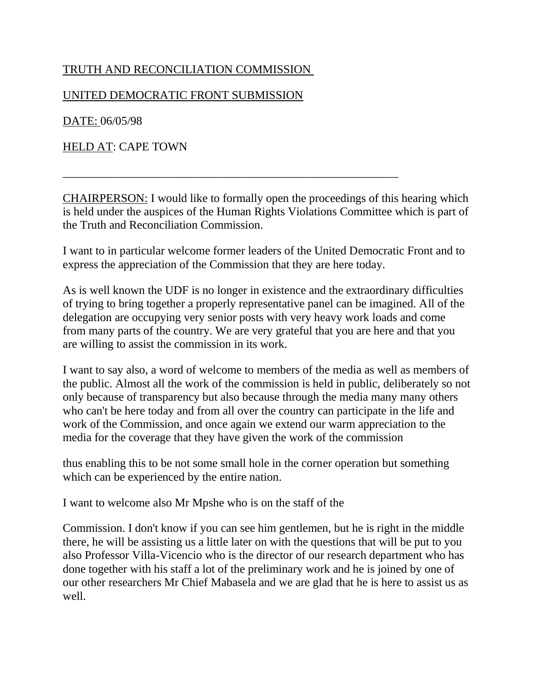### TRUTH AND RECONCILIATION COMMISSION

#### UNITED DEMOCRATIC FRONT SUBMISSION

DATE: 06/05/98

HELD AT: CAPE TOWN

CHAIRPERSON: I would like to formally open the proceedings of this hearing which is held under the auspices of the Human Rights Violations Committee which is part of the Truth and Reconciliation Commission.

\_\_\_\_\_\_\_\_\_\_\_\_\_\_\_\_\_\_\_\_\_\_\_\_\_\_\_\_\_\_\_\_\_\_\_\_\_\_\_\_\_\_\_\_\_\_\_\_\_\_\_\_\_\_\_\_\_

I want to in particular welcome former leaders of the United Democratic Front and to express the appreciation of the Commission that they are here today.

As is well known the UDF is no longer in existence and the extraordinary difficulties of trying to bring together a properly representative panel can be imagined. All of the delegation are occupying very senior posts with very heavy work loads and come from many parts of the country. We are very grateful that you are here and that you are willing to assist the commission in its work.

I want to say also, a word of welcome to members of the media as well as members of the public. Almost all the work of the commission is held in public, deliberately so not only because of transparency but also because through the media many many others who can't be here today and from all over the country can participate in the life and work of the Commission, and once again we extend our warm appreciation to the media for the coverage that they have given the work of the commission

thus enabling this to be not some small hole in the corner operation but something which can be experienced by the entire nation.

I want to welcome also Mr Mpshe who is on the staff of the

Commission. I don't know if you can see him gentlemen, but he is right in the middle there, he will be assisting us a little later on with the questions that will be put to you also Professor Villa-Vicencio who is the director of our research department who has done together with his staff a lot of the preliminary work and he is joined by one of our other researchers Mr Chief Mabasela and we are glad that he is here to assist us as well.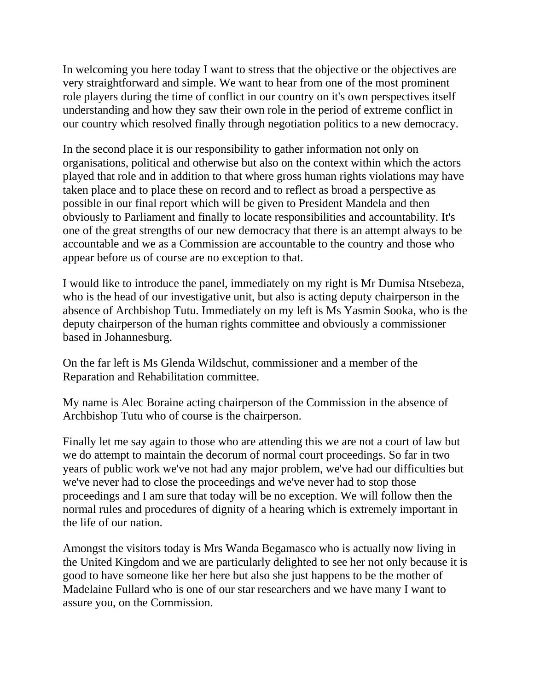In welcoming you here today I want to stress that the objective or the objectives are very straightforward and simple. We want to hear from one of the most prominent role players during the time of conflict in our country on it's own perspectives itself understanding and how they saw their own role in the period of extreme conflict in our country which resolved finally through negotiation politics to a new democracy.

In the second place it is our responsibility to gather information not only on organisations, political and otherwise but also on the context within which the actors played that role and in addition to that where gross human rights violations may have taken place and to place these on record and to reflect as broad a perspective as possible in our final report which will be given to President Mandela and then obviously to Parliament and finally to locate responsibilities and accountability. It's one of the great strengths of our new democracy that there is an attempt always to be accountable and we as a Commission are accountable to the country and those who appear before us of course are no exception to that.

I would like to introduce the panel, immediately on my right is Mr Dumisa Ntsebeza, who is the head of our investigative unit, but also is acting deputy chairperson in the absence of Archbishop Tutu. Immediately on my left is Ms Yasmin Sooka, who is the deputy chairperson of the human rights committee and obviously a commissioner based in Johannesburg.

On the far left is Ms Glenda Wildschut, commissioner and a member of the Reparation and Rehabilitation committee.

My name is Alec Boraine acting chairperson of the Commission in the absence of Archbishop Tutu who of course is the chairperson.

Finally let me say again to those who are attending this we are not a court of law but we do attempt to maintain the decorum of normal court proceedings. So far in two years of public work we've not had any major problem, we've had our difficulties but we've never had to close the proceedings and we've never had to stop those proceedings and I am sure that today will be no exception. We will follow then the normal rules and procedures of dignity of a hearing which is extremely important in the life of our nation.

Amongst the visitors today is Mrs Wanda Begamasco who is actually now living in the United Kingdom and we are particularly delighted to see her not only because it is good to have someone like her here but also she just happens to be the mother of Madelaine Fullard who is one of our star researchers and we have many I want to assure you, on the Commission.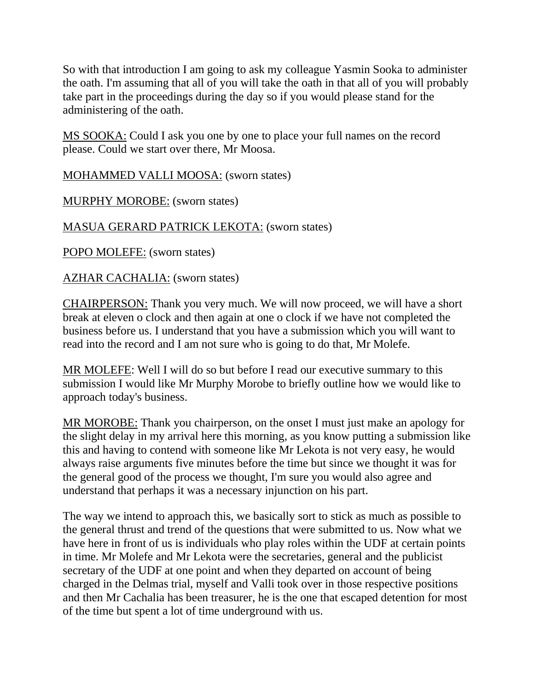So with that introduction I am going to ask my colleague Yasmin Sooka to administer the oath. I'm assuming that all of you will take the oath in that all of you will probably take part in the proceedings during the day so if you would please stand for the administering of the oath.

MS SOOKA: Could I ask you one by one to place your full names on the record please. Could we start over there, Mr Moosa.

MOHAMMED VALLI MOOSA: (sworn states)

MURPHY MOROBE: (sworn states)

# MASUA GERARD PATRICK LEKOTA: (sworn states)

POPO MOLEFE: (sworn states)

AZHAR CACHALIA: (sworn states)

CHAIRPERSON: Thank you very much. We will now proceed, we will have a short break at eleven o clock and then again at one o clock if we have not completed the business before us. I understand that you have a submission which you will want to read into the record and I am not sure who is going to do that, Mr Molefe.

MR MOLEFE: Well I will do so but before I read our executive summary to this submission I would like Mr Murphy Morobe to briefly outline how we would like to approach today's business.

MR MOROBE: Thank you chairperson, on the onset I must just make an apology for the slight delay in my arrival here this morning, as you know putting a submission like this and having to contend with someone like Mr Lekota is not very easy, he would always raise arguments five minutes before the time but since we thought it was for the general good of the process we thought, I'm sure you would also agree and understand that perhaps it was a necessary injunction on his part.

The way we intend to approach this, we basically sort to stick as much as possible to the general thrust and trend of the questions that were submitted to us. Now what we have here in front of us is individuals who play roles within the UDF at certain points in time. Mr Molefe and Mr Lekota were the secretaries, general and the publicist secretary of the UDF at one point and when they departed on account of being charged in the Delmas trial, myself and Valli took over in those respective positions and then Mr Cachalia has been treasurer, he is the one that escaped detention for most of the time but spent a lot of time underground with us.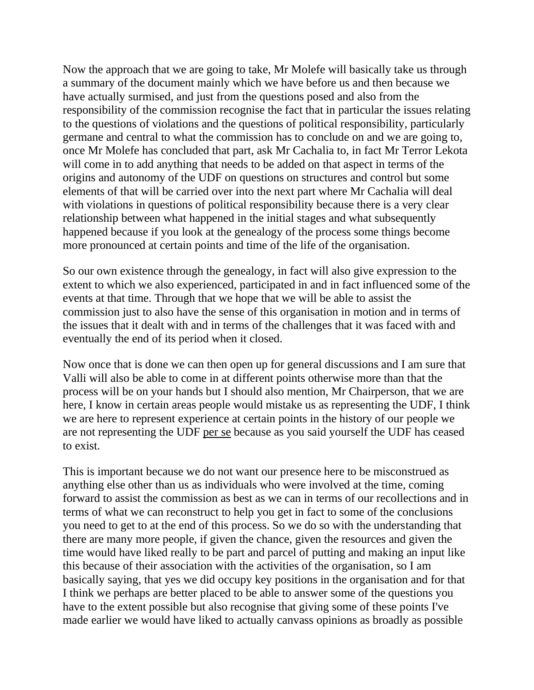Now the approach that we are going to take, Mr Molefe will basically take us through a summary of the document mainly which we have before us and then because we have actually surmised, and just from the questions posed and also from the responsibility of the commission recognise the fact that in particular the issues relating to the questions of violations and the questions of political responsibility, particularly germane and central to what the commission has to conclude on and we are going to, once Mr Molefe has concluded that part, ask Mr Cachalia to, in fact Mr Terror Lekota will come in to add anything that needs to be added on that aspect in terms of the origins and autonomy of the UDF on questions on structures and control but some elements of that will be carried over into the next part where Mr Cachalia will deal with violations in questions of political responsibility because there is a very clear relationship between what happened in the initial stages and what subsequently happened because if you look at the genealogy of the process some things become more pronounced at certain points and time of the life of the organisation.

So our own existence through the genealogy, in fact will also give expression to the extent to which we also experienced, participated in and in fact influenced some of the events at that time. Through that we hope that we will be able to assist the commission just to also have the sense of this organisation in motion and in terms of the issues that it dealt with and in terms of the challenges that it was faced with and eventually the end of its period when it closed.

Now once that is done we can then open up for general discussions and I am sure that Valli will also be able to come in at different points otherwise more than that the process will be on your hands but I should also mention, Mr Chairperson, that we are here, I know in certain areas people would mistake us as representing the UDF, I think we are here to represent experience at certain points in the history of our people we are not representing the UDF per se because as you said yourself the UDF has ceased to exist.

This is important because we do not want our presence here to be misconstrued as anything else other than us as individuals who were involved at the time, coming forward to assist the commission as best as we can in terms of our recollections and in terms of what we can reconstruct to help you get in fact to some of the conclusions you need to get to at the end of this process. So we do so with the understanding that there are many more people, if given the chance, given the resources and given the time would have liked really to be part and parcel of putting and making an input like this because of their association with the activities of the organisation, so I am basically saying, that yes we did occupy key positions in the organisation and for that I think we perhaps are better placed to be able to answer some of the questions you have to the extent possible but also recognise that giving some of these points I've made earlier we would have liked to actually canvass opinions as broadly as possible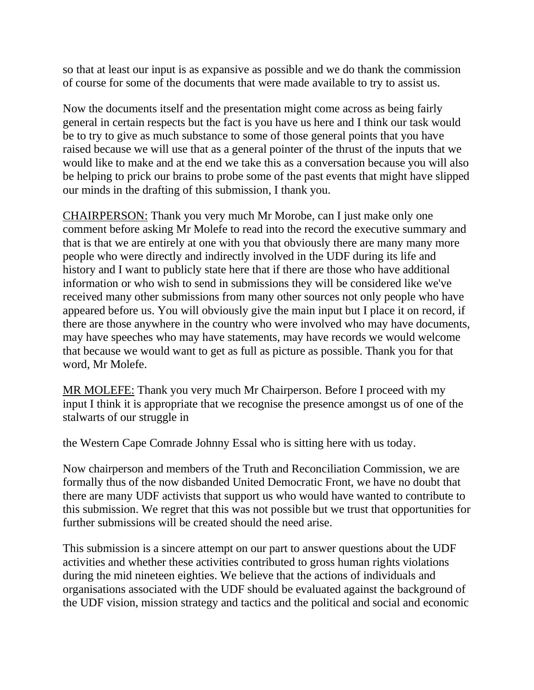so that at least our input is as expansive as possible and we do thank the commission of course for some of the documents that were made available to try to assist us.

Now the documents itself and the presentation might come across as being fairly general in certain respects but the fact is you have us here and I think our task would be to try to give as much substance to some of those general points that you have raised because we will use that as a general pointer of the thrust of the inputs that we would like to make and at the end we take this as a conversation because you will also be helping to prick our brains to probe some of the past events that might have slipped our minds in the drafting of this submission, I thank you.

CHAIRPERSON: Thank you very much Mr Morobe, can I just make only one comment before asking Mr Molefe to read into the record the executive summary and that is that we are entirely at one with you that obviously there are many many more people who were directly and indirectly involved in the UDF during its life and history and I want to publicly state here that if there are those who have additional information or who wish to send in submissions they will be considered like we've received many other submissions from many other sources not only people who have appeared before us. You will obviously give the main input but I place it on record, if there are those anywhere in the country who were involved who may have documents, may have speeches who may have statements, may have records we would welcome that because we would want to get as full as picture as possible. Thank you for that word, Mr Molefe.

MR MOLEFE: Thank you very much Mr Chairperson. Before I proceed with my input I think it is appropriate that we recognise the presence amongst us of one of the stalwarts of our struggle in

the Western Cape Comrade Johnny Essal who is sitting here with us today.

Now chairperson and members of the Truth and Reconciliation Commission, we are formally thus of the now disbanded United Democratic Front, we have no doubt that there are many UDF activists that support us who would have wanted to contribute to this submission. We regret that this was not possible but we trust that opportunities for further submissions will be created should the need arise.

This submission is a sincere attempt on our part to answer questions about the UDF activities and whether these activities contributed to gross human rights violations during the mid nineteen eighties. We believe that the actions of individuals and organisations associated with the UDF should be evaluated against the background of the UDF vision, mission strategy and tactics and the political and social and economic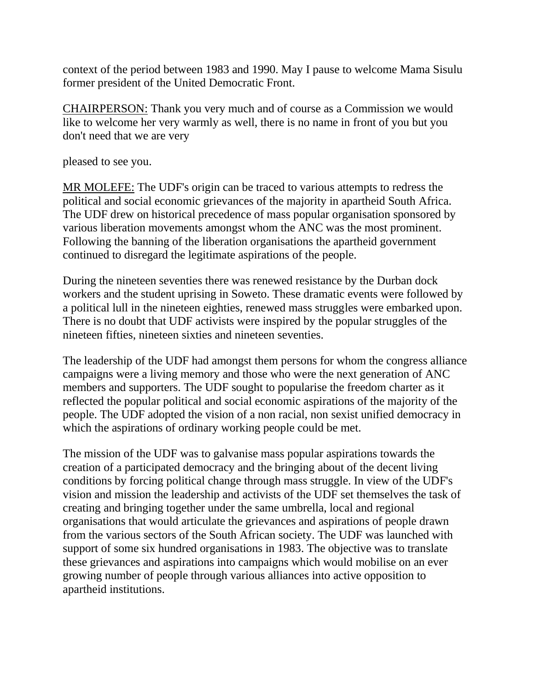context of the period between 1983 and 1990. May I pause to welcome Mama Sisulu former president of the United Democratic Front.

CHAIRPERSON: Thank you very much and of course as a Commission we would like to welcome her very warmly as well, there is no name in front of you but you don't need that we are very

pleased to see you.

MR MOLEFE: The UDF's origin can be traced to various attempts to redress the political and social economic grievances of the majority in apartheid South Africa. The UDF drew on historical precedence of mass popular organisation sponsored by various liberation movements amongst whom the ANC was the most prominent. Following the banning of the liberation organisations the apartheid government continued to disregard the legitimate aspirations of the people.

During the nineteen seventies there was renewed resistance by the Durban dock workers and the student uprising in Soweto. These dramatic events were followed by a political lull in the nineteen eighties, renewed mass struggles were embarked upon. There is no doubt that UDF activists were inspired by the popular struggles of the nineteen fifties, nineteen sixties and nineteen seventies.

The leadership of the UDF had amongst them persons for whom the congress alliance campaigns were a living memory and those who were the next generation of ANC members and supporters. The UDF sought to popularise the freedom charter as it reflected the popular political and social economic aspirations of the majority of the people. The UDF adopted the vision of a non racial, non sexist unified democracy in which the aspirations of ordinary working people could be met.

The mission of the UDF was to galvanise mass popular aspirations towards the creation of a participated democracy and the bringing about of the decent living conditions by forcing political change through mass struggle. In view of the UDF's vision and mission the leadership and activists of the UDF set themselves the task of creating and bringing together under the same umbrella, local and regional organisations that would articulate the grievances and aspirations of people drawn from the various sectors of the South African society. The UDF was launched with support of some six hundred organisations in 1983. The objective was to translate these grievances and aspirations into campaigns which would mobilise on an ever growing number of people through various alliances into active opposition to apartheid institutions.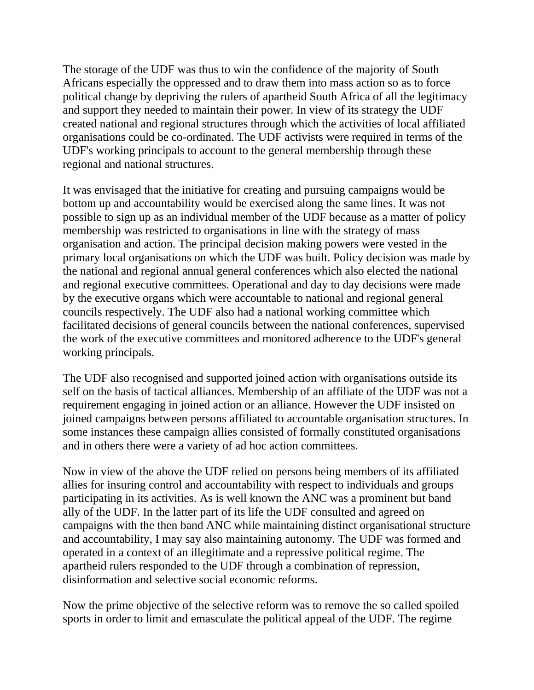The storage of the UDF was thus to win the confidence of the majority of South Africans especially the oppressed and to draw them into mass action so as to force political change by depriving the rulers of apartheid South Africa of all the legitimacy and support they needed to maintain their power. In view of its strategy the UDF created national and regional structures through which the activities of local affiliated organisations could be co-ordinated. The UDF activists were required in terms of the UDF's working principals to account to the general membership through these regional and national structures.

It was envisaged that the initiative for creating and pursuing campaigns would be bottom up and accountability would be exercised along the same lines. It was not possible to sign up as an individual member of the UDF because as a matter of policy membership was restricted to organisations in line with the strategy of mass organisation and action. The principal decision making powers were vested in the primary local organisations on which the UDF was built. Policy decision was made by the national and regional annual general conferences which also elected the national and regional executive committees. Operational and day to day decisions were made by the executive organs which were accountable to national and regional general councils respectively. The UDF also had a national working committee which facilitated decisions of general councils between the national conferences, supervised the work of the executive committees and monitored adherence to the UDF's general working principals.

The UDF also recognised and supported joined action with organisations outside its self on the basis of tactical alliances. Membership of an affiliate of the UDF was not a requirement engaging in joined action or an alliance. However the UDF insisted on joined campaigns between persons affiliated to accountable organisation structures. In some instances these campaign allies consisted of formally constituted organisations and in others there were a variety of ad hoc action committees.

Now in view of the above the UDF relied on persons being members of its affiliated allies for insuring control and accountability with respect to individuals and groups participating in its activities. As is well known the ANC was a prominent but band ally of the UDF. In the latter part of its life the UDF consulted and agreed on campaigns with the then band ANC while maintaining distinct organisational structure and accountability, I may say also maintaining autonomy. The UDF was formed and operated in a context of an illegitimate and a repressive political regime. The apartheid rulers responded to the UDF through a combination of repression, disinformation and selective social economic reforms.

Now the prime objective of the selective reform was to remove the so called spoiled sports in order to limit and emasculate the political appeal of the UDF. The regime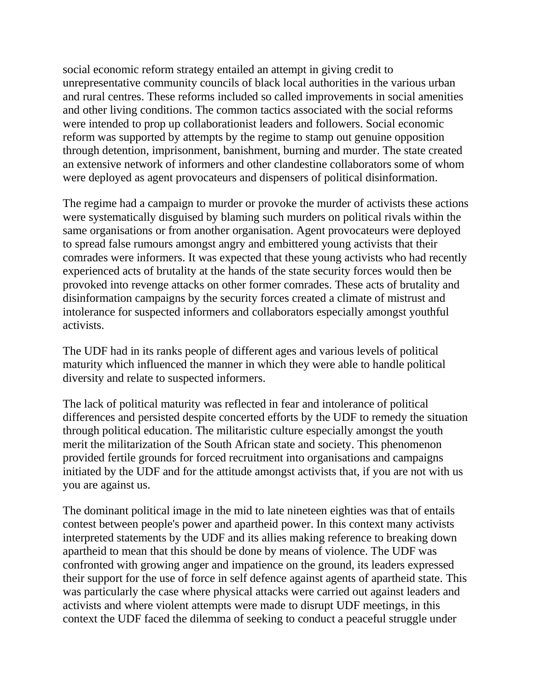social economic reform strategy entailed an attempt in giving credit to unrepresentative community councils of black local authorities in the various urban and rural centres. These reforms included so called improvements in social amenities and other living conditions. The common tactics associated with the social reforms were intended to prop up collaborationist leaders and followers. Social economic reform was supported by attempts by the regime to stamp out genuine opposition through detention, imprisonment, banishment, burning and murder. The state created an extensive network of informers and other clandestine collaborators some of whom were deployed as agent provocateurs and dispensers of political disinformation.

The regime had a campaign to murder or provoke the murder of activists these actions were systematically disguised by blaming such murders on political rivals within the same organisations or from another organisation. Agent provocateurs were deployed to spread false rumours amongst angry and embittered young activists that their comrades were informers. It was expected that these young activists who had recently experienced acts of brutality at the hands of the state security forces would then be provoked into revenge attacks on other former comrades. These acts of brutality and disinformation campaigns by the security forces created a climate of mistrust and intolerance for suspected informers and collaborators especially amongst youthful activists.

The UDF had in its ranks people of different ages and various levels of political maturity which influenced the manner in which they were able to handle political diversity and relate to suspected informers.

The lack of political maturity was reflected in fear and intolerance of political differences and persisted despite concerted efforts by the UDF to remedy the situation through political education. The militaristic culture especially amongst the youth merit the militarization of the South African state and society. This phenomenon provided fertile grounds for forced recruitment into organisations and campaigns initiated by the UDF and for the attitude amongst activists that, if you are not with us you are against us.

The dominant political image in the mid to late nineteen eighties was that of entails contest between people's power and apartheid power. In this context many activists interpreted statements by the UDF and its allies making reference to breaking down apartheid to mean that this should be done by means of violence. The UDF was confronted with growing anger and impatience on the ground, its leaders expressed their support for the use of force in self defence against agents of apartheid state. This was particularly the case where physical attacks were carried out against leaders and activists and where violent attempts were made to disrupt UDF meetings, in this context the UDF faced the dilemma of seeking to conduct a peaceful struggle under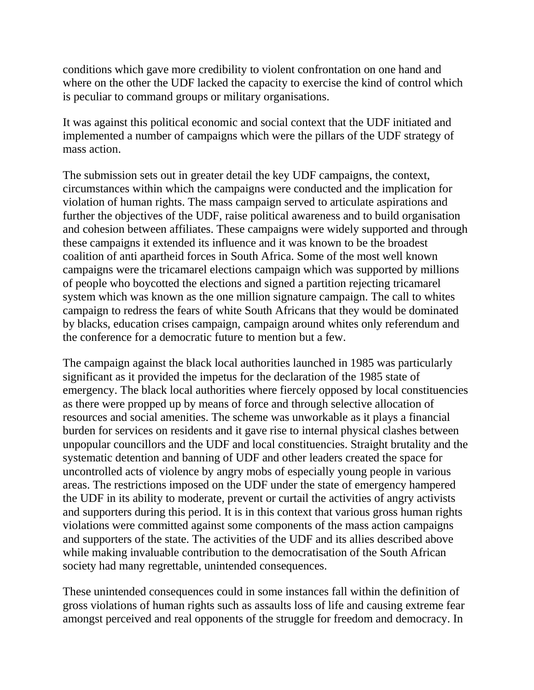conditions which gave more credibility to violent confrontation on one hand and where on the other the UDF lacked the capacity to exercise the kind of control which is peculiar to command groups or military organisations.

It was against this political economic and social context that the UDF initiated and implemented a number of campaigns which were the pillars of the UDF strategy of mass action.

The submission sets out in greater detail the key UDF campaigns, the context, circumstances within which the campaigns were conducted and the implication for violation of human rights. The mass campaign served to articulate aspirations and further the objectives of the UDF, raise political awareness and to build organisation and cohesion between affiliates. These campaigns were widely supported and through these campaigns it extended its influence and it was known to be the broadest coalition of anti apartheid forces in South Africa. Some of the most well known campaigns were the tricamarel elections campaign which was supported by millions of people who boycotted the elections and signed a partition rejecting tricamarel system which was known as the one million signature campaign. The call to whites campaign to redress the fears of white South Africans that they would be dominated by blacks, education crises campaign, campaign around whites only referendum and the conference for a democratic future to mention but a few.

The campaign against the black local authorities launched in 1985 was particularly significant as it provided the impetus for the declaration of the 1985 state of emergency. The black local authorities where fiercely opposed by local constituencies as there were propped up by means of force and through selective allocation of resources and social amenities. The scheme was unworkable as it plays a financial burden for services on residents and it gave rise to internal physical clashes between unpopular councillors and the UDF and local constituencies. Straight brutality and the systematic detention and banning of UDF and other leaders created the space for uncontrolled acts of violence by angry mobs of especially young people in various areas. The restrictions imposed on the UDF under the state of emergency hampered the UDF in its ability to moderate, prevent or curtail the activities of angry activists and supporters during this period. It is in this context that various gross human rights violations were committed against some components of the mass action campaigns and supporters of the state. The activities of the UDF and its allies described above while making invaluable contribution to the democratisation of the South African society had many regrettable, unintended consequences.

These unintended consequences could in some instances fall within the definition of gross violations of human rights such as assaults loss of life and causing extreme fear amongst perceived and real opponents of the struggle for freedom and democracy. In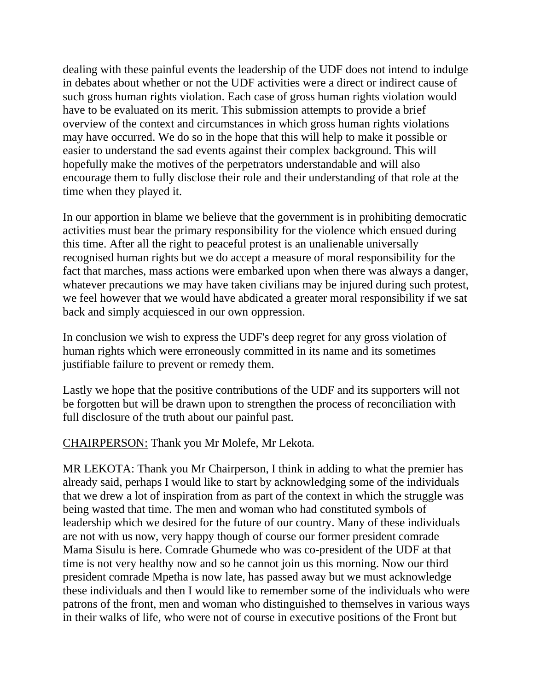dealing with these painful events the leadership of the UDF does not intend to indulge in debates about whether or not the UDF activities were a direct or indirect cause of such gross human rights violation. Each case of gross human rights violation would have to be evaluated on its merit. This submission attempts to provide a brief overview of the context and circumstances in which gross human rights violations may have occurred. We do so in the hope that this will help to make it possible or easier to understand the sad events against their complex background. This will hopefully make the motives of the perpetrators understandable and will also encourage them to fully disclose their role and their understanding of that role at the time when they played it.

In our apportion in blame we believe that the government is in prohibiting democratic activities must bear the primary responsibility for the violence which ensued during this time. After all the right to peaceful protest is an unalienable universally recognised human rights but we do accept a measure of moral responsibility for the fact that marches, mass actions were embarked upon when there was always a danger, whatever precautions we may have taken civilians may be injured during such protest, we feel however that we would have abdicated a greater moral responsibility if we sat back and simply acquiesced in our own oppression.

In conclusion we wish to express the UDF's deep regret for any gross violation of human rights which were erroneously committed in its name and its sometimes justifiable failure to prevent or remedy them.

Lastly we hope that the positive contributions of the UDF and its supporters will not be forgotten but will be drawn upon to strengthen the process of reconciliation with full disclosure of the truth about our painful past.

CHAIRPERSON: Thank you Mr Molefe, Mr Lekota.

MR LEKOTA: Thank you Mr Chairperson, I think in adding to what the premier has already said, perhaps I would like to start by acknowledging some of the individuals that we drew a lot of inspiration from as part of the context in which the struggle was being wasted that time. The men and woman who had constituted symbols of leadership which we desired for the future of our country. Many of these individuals are not with us now, very happy though of course our former president comrade Mama Sisulu is here. Comrade Ghumede who was co-president of the UDF at that time is not very healthy now and so he cannot join us this morning. Now our third president comrade Mpetha is now late, has passed away but we must acknowledge these individuals and then I would like to remember some of the individuals who were patrons of the front, men and woman who distinguished to themselves in various ways in their walks of life, who were not of course in executive positions of the Front but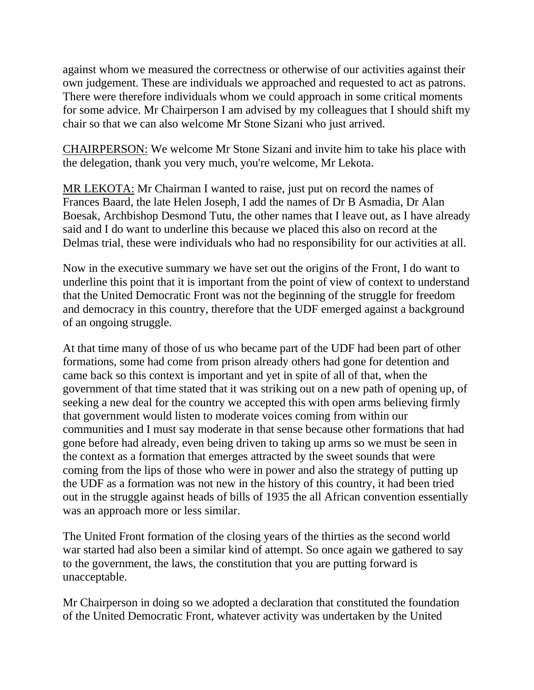against whom we measured the correctness or otherwise of our activities against their own judgement. These are individuals we approached and requested to act as patrons. There were therefore individuals whom we could approach in some critical moments for some advice. Mr Chairperson I am advised by my colleagues that I should shift my chair so that we can also welcome Mr Stone Sizani who just arrived.

CHAIRPERSON: We welcome Mr Stone Sizani and invite him to take his place with the delegation, thank you very much, you're welcome, Mr Lekota.

MR LEKOTA: Mr Chairman I wanted to raise, just put on record the names of Frances Baard, the late Helen Joseph, I add the names of Dr B Asmadia, Dr Alan Boesak, Archbishop Desmond Tutu, the other names that I leave out, as I have already said and I do want to underline this because we placed this also on record at the Delmas trial, these were individuals who had no responsibility for our activities at all.

Now in the executive summary we have set out the origins of the Front, I do want to underline this point that it is important from the point of view of context to understand that the United Democratic Front was not the beginning of the struggle for freedom and democracy in this country, therefore that the UDF emerged against a background of an ongoing struggle.

At that time many of those of us who became part of the UDF had been part of other formations, some had come from prison already others had gone for detention and came back so this context is important and yet in spite of all of that, when the government of that time stated that it was striking out on a new path of opening up, of seeking a new deal for the country we accepted this with open arms believing firmly that government would listen to moderate voices coming from within our communities and I must say moderate in that sense because other formations that had gone before had already, even being driven to taking up arms so we must be seen in the context as a formation that emerges attracted by the sweet sounds that were coming from the lips of those who were in power and also the strategy of putting up the UDF as a formation was not new in the history of this country, it had been tried out in the struggle against heads of bills of 1935 the all African convention essentially was an approach more or less similar.

The United Front formation of the closing years of the thirties as the second world war started had also been a similar kind of attempt. So once again we gathered to say to the government, the laws, the constitution that you are putting forward is unacceptable.

Mr Chairperson in doing so we adopted a declaration that constituted the foundation of the United Democratic Front, whatever activity was undertaken by the United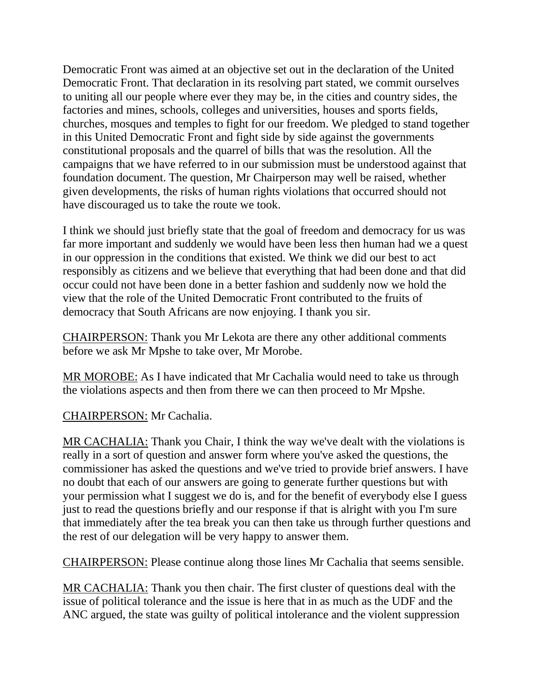Democratic Front was aimed at an objective set out in the declaration of the United Democratic Front. That declaration in its resolving part stated, we commit ourselves to uniting all our people where ever they may be, in the cities and country sides, the factories and mines, schools, colleges and universities, houses and sports fields, churches, mosques and temples to fight for our freedom. We pledged to stand together in this United Democratic Front and fight side by side against the governments constitutional proposals and the quarrel of bills that was the resolution. All the campaigns that we have referred to in our submission must be understood against that foundation document. The question, Mr Chairperson may well be raised, whether given developments, the risks of human rights violations that occurred should not have discouraged us to take the route we took.

I think we should just briefly state that the goal of freedom and democracy for us was far more important and suddenly we would have been less then human had we a quest in our oppression in the conditions that existed. We think we did our best to act responsibly as citizens and we believe that everything that had been done and that did occur could not have been done in a better fashion and suddenly now we hold the view that the role of the United Democratic Front contributed to the fruits of democracy that South Africans are now enjoying. I thank you sir.

CHAIRPERSON: Thank you Mr Lekota are there any other additional comments before we ask Mr Mpshe to take over, Mr Morobe.

MR MOROBE: As I have indicated that Mr Cachalia would need to take us through the violations aspects and then from there we can then proceed to Mr Mpshe.

CHAIRPERSON: Mr Cachalia.

MR CACHALIA: Thank you Chair, I think the way we've dealt with the violations is really in a sort of question and answer form where you've asked the questions, the commissioner has asked the questions and we've tried to provide brief answers. I have no doubt that each of our answers are going to generate further questions but with your permission what I suggest we do is, and for the benefit of everybody else I guess just to read the questions briefly and our response if that is alright with you I'm sure that immediately after the tea break you can then take us through further questions and the rest of our delegation will be very happy to answer them.

CHAIRPERSON: Please continue along those lines Mr Cachalia that seems sensible.

MR CACHALIA: Thank you then chair. The first cluster of questions deal with the issue of political tolerance and the issue is here that in as much as the UDF and the ANC argued, the state was guilty of political intolerance and the violent suppression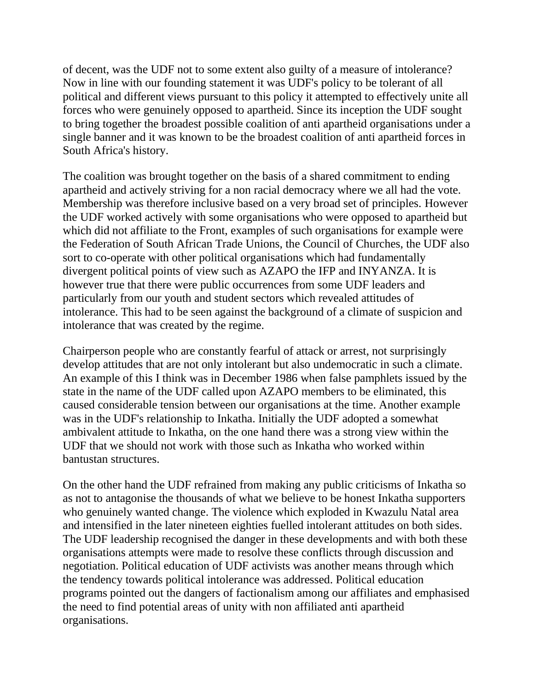of decent, was the UDF not to some extent also guilty of a measure of intolerance? Now in line with our founding statement it was UDF's policy to be tolerant of all political and different views pursuant to this policy it attempted to effectively unite all forces who were genuinely opposed to apartheid. Since its inception the UDF sought to bring together the broadest possible coalition of anti apartheid organisations under a single banner and it was known to be the broadest coalition of anti apartheid forces in South Africa's history.

The coalition was brought together on the basis of a shared commitment to ending apartheid and actively striving for a non racial democracy where we all had the vote. Membership was therefore inclusive based on a very broad set of principles. However the UDF worked actively with some organisations who were opposed to apartheid but which did not affiliate to the Front, examples of such organisations for example were the Federation of South African Trade Unions, the Council of Churches, the UDF also sort to co-operate with other political organisations which had fundamentally divergent political points of view such as AZAPO the IFP and INYANZA. It is however true that there were public occurrences from some UDF leaders and particularly from our youth and student sectors which revealed attitudes of intolerance. This had to be seen against the background of a climate of suspicion and intolerance that was created by the regime.

Chairperson people who are constantly fearful of attack or arrest, not surprisingly develop attitudes that are not only intolerant but also undemocratic in such a climate. An example of this I think was in December 1986 when false pamphlets issued by the state in the name of the UDF called upon AZAPO members to be eliminated, this caused considerable tension between our organisations at the time. Another example was in the UDF's relationship to Inkatha. Initially the UDF adopted a somewhat ambivalent attitude to Inkatha, on the one hand there was a strong view within the UDF that we should not work with those such as Inkatha who worked within bantustan structures.

On the other hand the UDF refrained from making any public criticisms of Inkatha so as not to antagonise the thousands of what we believe to be honest Inkatha supporters who genuinely wanted change. The violence which exploded in Kwazulu Natal area and intensified in the later nineteen eighties fuelled intolerant attitudes on both sides. The UDF leadership recognised the danger in these developments and with both these organisations attempts were made to resolve these conflicts through discussion and negotiation. Political education of UDF activists was another means through which the tendency towards political intolerance was addressed. Political education programs pointed out the dangers of factionalism among our affiliates and emphasised the need to find potential areas of unity with non affiliated anti apartheid organisations.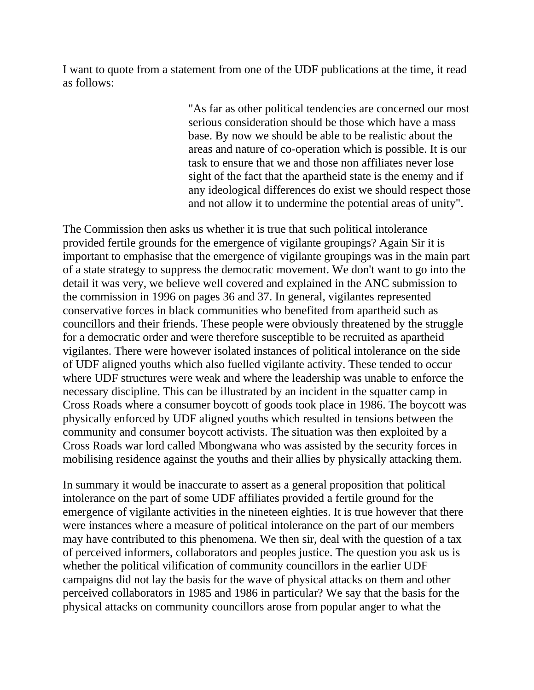I want to quote from a statement from one of the UDF publications at the time, it read as follows:

> "As far as other political tendencies are concerned our most serious consideration should be those which have a mass base. By now we should be able to be realistic about the areas and nature of co-operation which is possible. It is our task to ensure that we and those non affiliates never lose sight of the fact that the apartheid state is the enemy and if any ideological differences do exist we should respect those and not allow it to undermine the potential areas of unity".

The Commission then asks us whether it is true that such political intolerance provided fertile grounds for the emergence of vigilante groupings? Again Sir it is important to emphasise that the emergence of vigilante groupings was in the main part of a state strategy to suppress the democratic movement. We don't want to go into the detail it was very, we believe well covered and explained in the ANC submission to the commission in 1996 on pages 36 and 37. In general, vigilantes represented conservative forces in black communities who benefited from apartheid such as councillors and their friends. These people were obviously threatened by the struggle for a democratic order and were therefore susceptible to be recruited as apartheid vigilantes. There were however isolated instances of political intolerance on the side of UDF aligned youths which also fuelled vigilante activity. These tended to occur where UDF structures were weak and where the leadership was unable to enforce the necessary discipline. This can be illustrated by an incident in the squatter camp in Cross Roads where a consumer boycott of goods took place in 1986. The boycott was physically enforced by UDF aligned youths which resulted in tensions between the community and consumer boycott activists. The situation was then exploited by a Cross Roads war lord called Mbongwana who was assisted by the security forces in mobilising residence against the youths and their allies by physically attacking them.

In summary it would be inaccurate to assert as a general proposition that political intolerance on the part of some UDF affiliates provided a fertile ground for the emergence of vigilante activities in the nineteen eighties. It is true however that there were instances where a measure of political intolerance on the part of our members may have contributed to this phenomena. We then sir, deal with the question of a tax of perceived informers, collaborators and peoples justice. The question you ask us is whether the political vilification of community councillors in the earlier UDF campaigns did not lay the basis for the wave of physical attacks on them and other perceived collaborators in 1985 and 1986 in particular? We say that the basis for the physical attacks on community councillors arose from popular anger to what the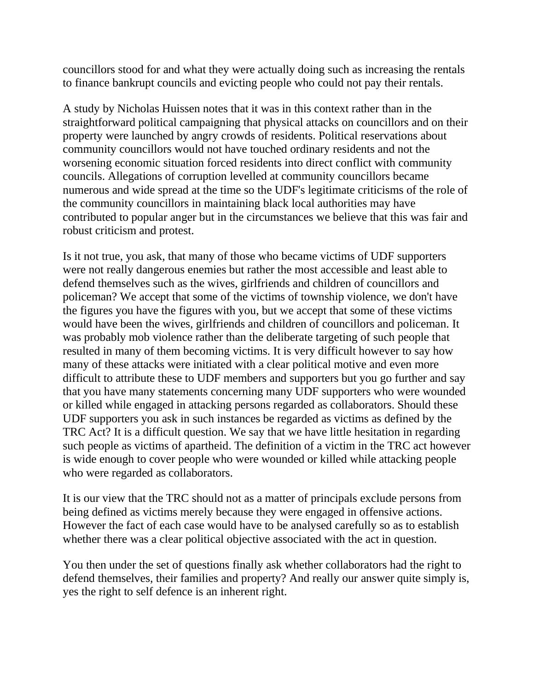councillors stood for and what they were actually doing such as increasing the rentals to finance bankrupt councils and evicting people who could not pay their rentals.

A study by Nicholas Huissen notes that it was in this context rather than in the straightforward political campaigning that physical attacks on councillors and on their property were launched by angry crowds of residents. Political reservations about community councillors would not have touched ordinary residents and not the worsening economic situation forced residents into direct conflict with community councils. Allegations of corruption levelled at community councillors became numerous and wide spread at the time so the UDF's legitimate criticisms of the role of the community councillors in maintaining black local authorities may have contributed to popular anger but in the circumstances we believe that this was fair and robust criticism and protest.

Is it not true, you ask, that many of those who became victims of UDF supporters were not really dangerous enemies but rather the most accessible and least able to defend themselves such as the wives, girlfriends and children of councillors and policeman? We accept that some of the victims of township violence, we don't have the figures you have the figures with you, but we accept that some of these victims would have been the wives, girlfriends and children of councillors and policeman. It was probably mob violence rather than the deliberate targeting of such people that resulted in many of them becoming victims. It is very difficult however to say how many of these attacks were initiated with a clear political motive and even more difficult to attribute these to UDF members and supporters but you go further and say that you have many statements concerning many UDF supporters who were wounded or killed while engaged in attacking persons regarded as collaborators. Should these UDF supporters you ask in such instances be regarded as victims as defined by the TRC Act? It is a difficult question. We say that we have little hesitation in regarding such people as victims of apartheid. The definition of a victim in the TRC act however is wide enough to cover people who were wounded or killed while attacking people who were regarded as collaborators.

It is our view that the TRC should not as a matter of principals exclude persons from being defined as victims merely because they were engaged in offensive actions. However the fact of each case would have to be analysed carefully so as to establish whether there was a clear political objective associated with the act in question.

You then under the set of questions finally ask whether collaborators had the right to defend themselves, their families and property? And really our answer quite simply is, yes the right to self defence is an inherent right.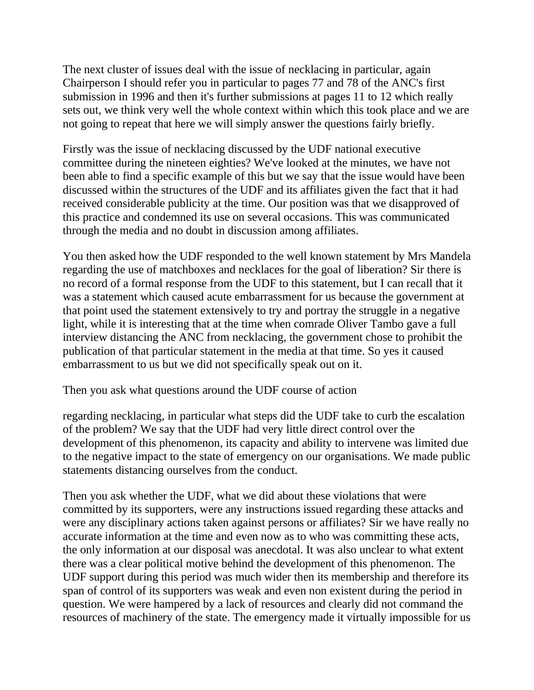The next cluster of issues deal with the issue of necklacing in particular, again Chairperson I should refer you in particular to pages 77 and 78 of the ANC's first submission in 1996 and then it's further submissions at pages 11 to 12 which really sets out, we think very well the whole context within which this took place and we are not going to repeat that here we will simply answer the questions fairly briefly.

Firstly was the issue of necklacing discussed by the UDF national executive committee during the nineteen eighties? We've looked at the minutes, we have not been able to find a specific example of this but we say that the issue would have been discussed within the structures of the UDF and its affiliates given the fact that it had received considerable publicity at the time. Our position was that we disapproved of this practice and condemned its use on several occasions. This was communicated through the media and no doubt in discussion among affiliates.

You then asked how the UDF responded to the well known statement by Mrs Mandela regarding the use of matchboxes and necklaces for the goal of liberation? Sir there is no record of a formal response from the UDF to this statement, but I can recall that it was a statement which caused acute embarrassment for us because the government at that point used the statement extensively to try and portray the struggle in a negative light, while it is interesting that at the time when comrade Oliver Tambo gave a full interview distancing the ANC from necklacing, the government chose to prohibit the publication of that particular statement in the media at that time. So yes it caused embarrassment to us but we did not specifically speak out on it.

Then you ask what questions around the UDF course of action

regarding necklacing, in particular what steps did the UDF take to curb the escalation of the problem? We say that the UDF had very little direct control over the development of this phenomenon, its capacity and ability to intervene was limited due to the negative impact to the state of emergency on our organisations. We made public statements distancing ourselves from the conduct.

Then you ask whether the UDF, what we did about these violations that were committed by its supporters, were any instructions issued regarding these attacks and were any disciplinary actions taken against persons or affiliates? Sir we have really no accurate information at the time and even now as to who was committing these acts, the only information at our disposal was anecdotal. It was also unclear to what extent there was a clear political motive behind the development of this phenomenon. The UDF support during this period was much wider then its membership and therefore its span of control of its supporters was weak and even non existent during the period in question. We were hampered by a lack of resources and clearly did not command the resources of machinery of the state. The emergency made it virtually impossible for us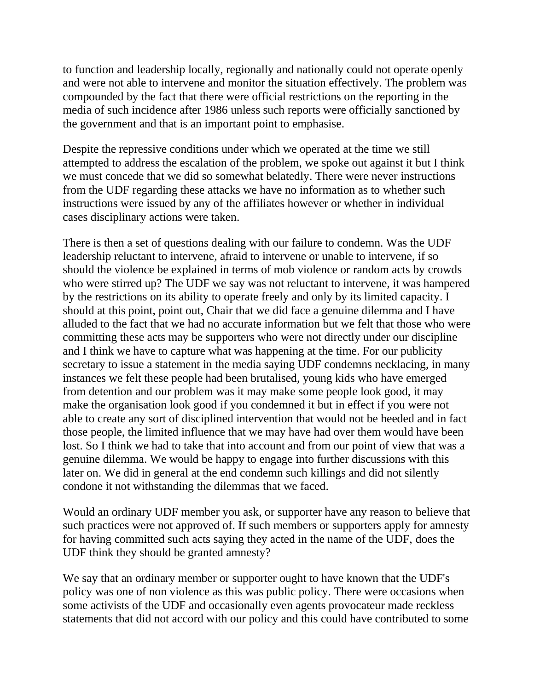to function and leadership locally, regionally and nationally could not operate openly and were not able to intervene and monitor the situation effectively. The problem was compounded by the fact that there were official restrictions on the reporting in the media of such incidence after 1986 unless such reports were officially sanctioned by the government and that is an important point to emphasise.

Despite the repressive conditions under which we operated at the time we still attempted to address the escalation of the problem, we spoke out against it but I think we must concede that we did so somewhat belatedly. There were never instructions from the UDF regarding these attacks we have no information as to whether such instructions were issued by any of the affiliates however or whether in individual cases disciplinary actions were taken.

There is then a set of questions dealing with our failure to condemn. Was the UDF leadership reluctant to intervene, afraid to intervene or unable to intervene, if so should the violence be explained in terms of mob violence or random acts by crowds who were stirred up? The UDF we say was not reluctant to intervene, it was hampered by the restrictions on its ability to operate freely and only by its limited capacity. I should at this point, point out, Chair that we did face a genuine dilemma and I have alluded to the fact that we had no accurate information but we felt that those who were committing these acts may be supporters who were not directly under our discipline and I think we have to capture what was happening at the time. For our publicity secretary to issue a statement in the media saying UDF condemns necklacing, in many instances we felt these people had been brutalised, young kids who have emerged from detention and our problem was it may make some people look good, it may make the organisation look good if you condemned it but in effect if you were not able to create any sort of disciplined intervention that would not be heeded and in fact those people, the limited influence that we may have had over them would have been lost. So I think we had to take that into account and from our point of view that was a genuine dilemma. We would be happy to engage into further discussions with this later on. We did in general at the end condemn such killings and did not silently condone it not withstanding the dilemmas that we faced.

Would an ordinary UDF member you ask, or supporter have any reason to believe that such practices were not approved of. If such members or supporters apply for amnesty for having committed such acts saying they acted in the name of the UDF, does the UDF think they should be granted amnesty?

We say that an ordinary member or supporter ought to have known that the UDF's policy was one of non violence as this was public policy. There were occasions when some activists of the UDF and occasionally even agents provocateur made reckless statements that did not accord with our policy and this could have contributed to some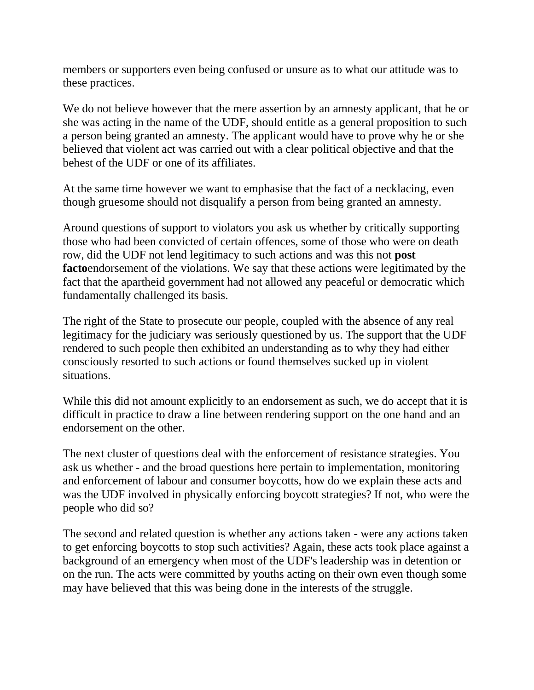members or supporters even being confused or unsure as to what our attitude was to these practices.

We do not believe however that the mere assertion by an amnesty applicant, that he or she was acting in the name of the UDF, should entitle as a general proposition to such a person being granted an amnesty. The applicant would have to prove why he or she believed that violent act was carried out with a clear political objective and that the behest of the UDF or one of its affiliates.

At the same time however we want to emphasise that the fact of a necklacing, even though gruesome should not disqualify a person from being granted an amnesty.

Around questions of support to violators you ask us whether by critically supporting those who had been convicted of certain offences, some of those who were on death row, did the UDF not lend legitimacy to such actions and was this not **post facto**endorsement of the violations. We say that these actions were legitimated by the fact that the apartheid government had not allowed any peaceful or democratic which fundamentally challenged its basis.

The right of the State to prosecute our people, coupled with the absence of any real legitimacy for the judiciary was seriously questioned by us. The support that the UDF rendered to such people then exhibited an understanding as to why they had either consciously resorted to such actions or found themselves sucked up in violent situations.

While this did not amount explicitly to an endorsement as such, we do accept that it is difficult in practice to draw a line between rendering support on the one hand and an endorsement on the other.

The next cluster of questions deal with the enforcement of resistance strategies. You ask us whether - and the broad questions here pertain to implementation, monitoring and enforcement of labour and consumer boycotts, how do we explain these acts and was the UDF involved in physically enforcing boycott strategies? If not, who were the people who did so?

The second and related question is whether any actions taken - were any actions taken to get enforcing boycotts to stop such activities? Again, these acts took place against a background of an emergency when most of the UDF's leadership was in detention or on the run. The acts were committed by youths acting on their own even though some may have believed that this was being done in the interests of the struggle.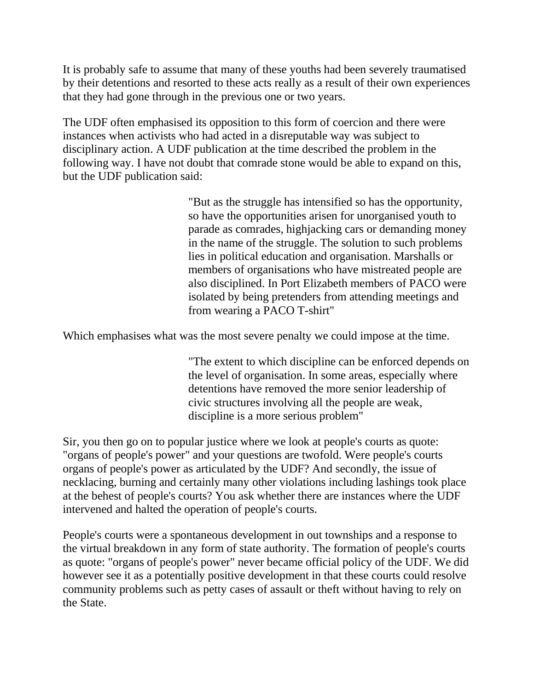It is probably safe to assume that many of these youths had been severely traumatised by their detentions and resorted to these acts really as a result of their own experiences that they had gone through in the previous one or two years.

The UDF often emphasised its opposition to this form of coercion and there were instances when activists who had acted in a disreputable way was subject to disciplinary action. A UDF publication at the time described the problem in the following way. I have not doubt that comrade stone would be able to expand on this, but the UDF publication said:

> "But as the struggle has intensified so has the opportunity, so have the opportunities arisen for unorganised youth to parade as comrades, highjacking cars or demanding money in the name of the struggle. The solution to such problems lies in political education and organisation. Marshalls or members of organisations who have mistreated people are also disciplined. In Port Elizabeth members of PACO were isolated by being pretenders from attending meetings and from wearing a PACO T-shirt"

Which emphasises what was the most severe penalty we could impose at the time.

"The extent to which discipline can be enforced depends on the level of organisation. In some areas, especially where detentions have removed the more senior leadership of civic structures involving all the people are weak, discipline is a more serious problem"

Sir, you then go on to popular justice where we look at people's courts as quote: "organs of people's power" and your questions are twofold. Were people's courts organs of people's power as articulated by the UDF? And secondly, the issue of necklacing, burning and certainly many other violations including lashings took place at the behest of people's courts? You ask whether there are instances where the UDF intervened and halted the operation of people's courts.

People's courts were a spontaneous development in out townships and a response to the virtual breakdown in any form of state authority. The formation of people's courts as quote: "organs of people's power" never became official policy of the UDF. We did however see it as a potentially positive development in that these courts could resolve community problems such as petty cases of assault or theft without having to rely on the State.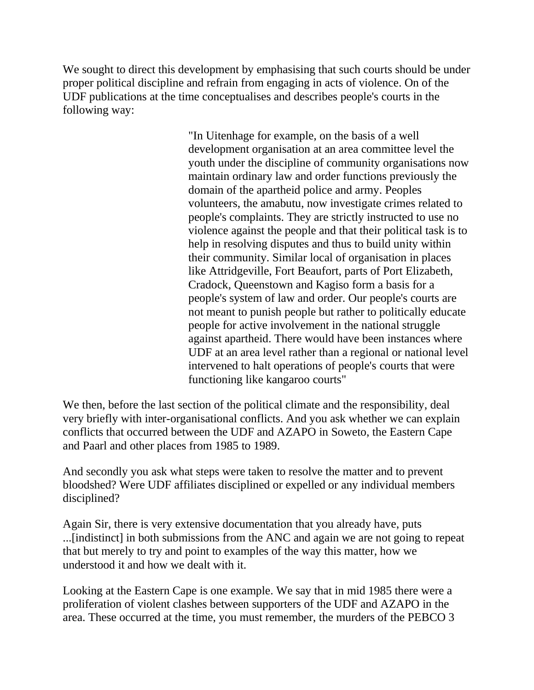We sought to direct this development by emphasising that such courts should be under proper political discipline and refrain from engaging in acts of violence. On of the UDF publications at the time conceptualises and describes people's courts in the following way:

> "In Uitenhage for example, on the basis of a well development organisation at an area committee level the youth under the discipline of community organisations now maintain ordinary law and order functions previously the domain of the apartheid police and army. Peoples volunteers, the amabutu, now investigate crimes related to people's complaints. They are strictly instructed to use no violence against the people and that their political task is to help in resolving disputes and thus to build unity within their community. Similar local of organisation in places like Attridgeville, Fort Beaufort, parts of Port Elizabeth, Cradock, Queenstown and Kagiso form a basis for a people's system of law and order. Our people's courts are not meant to punish people but rather to politically educate people for active involvement in the national struggle against apartheid. There would have been instances where UDF at an area level rather than a regional or national level intervened to halt operations of people's courts that were functioning like kangaroo courts"

We then, before the last section of the political climate and the responsibility, deal very briefly with inter-organisational conflicts. And you ask whether we can explain conflicts that occurred between the UDF and AZAPO in Soweto, the Eastern Cape and Paarl and other places from 1985 to 1989.

And secondly you ask what steps were taken to resolve the matter and to prevent bloodshed? Were UDF affiliates disciplined or expelled or any individual members disciplined?

Again Sir, there is very extensive documentation that you already have, puts ...[indistinct] in both submissions from the ANC and again we are not going to repeat that but merely to try and point to examples of the way this matter, how we understood it and how we dealt with it.

Looking at the Eastern Cape is one example. We say that in mid 1985 there were a proliferation of violent clashes between supporters of the UDF and AZAPO in the area. These occurred at the time, you must remember, the murders of the PEBCO 3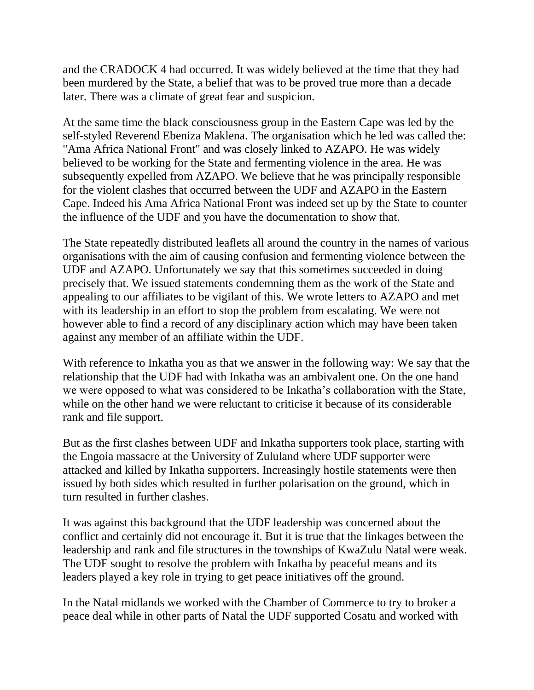and the CRADOCK 4 had occurred. It was widely believed at the time that they had been murdered by the State, a belief that was to be proved true more than a decade later. There was a climate of great fear and suspicion.

At the same time the black consciousness group in the Eastern Cape was led by the self-styled Reverend Ebeniza Maklena. The organisation which he led was called the: "Ama Africa National Front" and was closely linked to AZAPO. He was widely believed to be working for the State and fermenting violence in the area. He was subsequently expelled from AZAPO. We believe that he was principally responsible for the violent clashes that occurred between the UDF and AZAPO in the Eastern Cape. Indeed his Ama Africa National Front was indeed set up by the State to counter the influence of the UDF and you have the documentation to show that.

The State repeatedly distributed leaflets all around the country in the names of various organisations with the aim of causing confusion and fermenting violence between the UDF and AZAPO. Unfortunately we say that this sometimes succeeded in doing precisely that. We issued statements condemning them as the work of the State and appealing to our affiliates to be vigilant of this. We wrote letters to AZAPO and met with its leadership in an effort to stop the problem from escalating. We were not however able to find a record of any disciplinary action which may have been taken against any member of an affiliate within the UDF.

With reference to Inkatha you as that we answer in the following way: We say that the relationship that the UDF had with Inkatha was an ambivalent one. On the one hand we were opposed to what was considered to be Inkatha's collaboration with the State, while on the other hand we were reluctant to criticise it because of its considerable rank and file support.

But as the first clashes between UDF and Inkatha supporters took place, starting with the Engoia massacre at the University of Zululand where UDF supporter were attacked and killed by Inkatha supporters. Increasingly hostile statements were then issued by both sides which resulted in further polarisation on the ground, which in turn resulted in further clashes.

It was against this background that the UDF leadership was concerned about the conflict and certainly did not encourage it. But it is true that the linkages between the leadership and rank and file structures in the townships of KwaZulu Natal were weak. The UDF sought to resolve the problem with Inkatha by peaceful means and its leaders played a key role in trying to get peace initiatives off the ground.

In the Natal midlands we worked with the Chamber of Commerce to try to broker a peace deal while in other parts of Natal the UDF supported Cosatu and worked with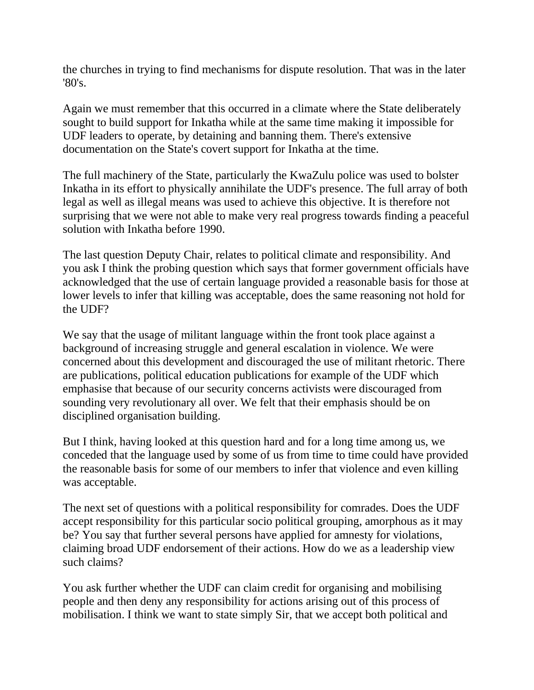the churches in trying to find mechanisms for dispute resolution. That was in the later '80's.

Again we must remember that this occurred in a climate where the State deliberately sought to build support for Inkatha while at the same time making it impossible for UDF leaders to operate, by detaining and banning them. There's extensive documentation on the State's covert support for Inkatha at the time.

The full machinery of the State, particularly the KwaZulu police was used to bolster Inkatha in its effort to physically annihilate the UDF's presence. The full array of both legal as well as illegal means was used to achieve this objective. It is therefore not surprising that we were not able to make very real progress towards finding a peaceful solution with Inkatha before 1990.

The last question Deputy Chair, relates to political climate and responsibility. And you ask I think the probing question which says that former government officials have acknowledged that the use of certain language provided a reasonable basis for those at lower levels to infer that killing was acceptable, does the same reasoning not hold for the UDF?

We say that the usage of militant language within the front took place against a background of increasing struggle and general escalation in violence. We were concerned about this development and discouraged the use of militant rhetoric. There are publications, political education publications for example of the UDF which emphasise that because of our security concerns activists were discouraged from sounding very revolutionary all over. We felt that their emphasis should be on disciplined organisation building.

But I think, having looked at this question hard and for a long time among us, we conceded that the language used by some of us from time to time could have provided the reasonable basis for some of our members to infer that violence and even killing was acceptable.

The next set of questions with a political responsibility for comrades. Does the UDF accept responsibility for this particular socio political grouping, amorphous as it may be? You say that further several persons have applied for amnesty for violations, claiming broad UDF endorsement of their actions. How do we as a leadership view such claims?

You ask further whether the UDF can claim credit for organising and mobilising people and then deny any responsibility for actions arising out of this process of mobilisation. I think we want to state simply Sir, that we accept both political and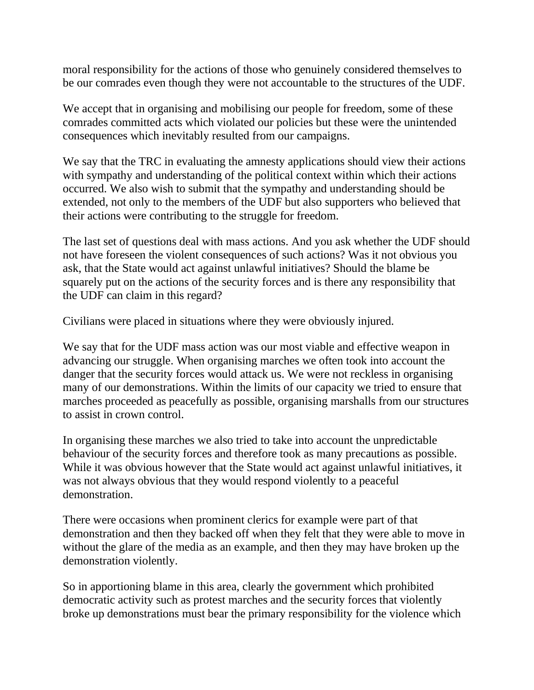moral responsibility for the actions of those who genuinely considered themselves to be our comrades even though they were not accountable to the structures of the UDF.

We accept that in organising and mobilising our people for freedom, some of these comrades committed acts which violated our policies but these were the unintended consequences which inevitably resulted from our campaigns.

We say that the TRC in evaluating the amnesty applications should view their actions with sympathy and understanding of the political context within which their actions occurred. We also wish to submit that the sympathy and understanding should be extended, not only to the members of the UDF but also supporters who believed that their actions were contributing to the struggle for freedom.

The last set of questions deal with mass actions. And you ask whether the UDF should not have foreseen the violent consequences of such actions? Was it not obvious you ask, that the State would act against unlawful initiatives? Should the blame be squarely put on the actions of the security forces and is there any responsibility that the UDF can claim in this regard?

Civilians were placed in situations where they were obviously injured.

We say that for the UDF mass action was our most viable and effective weapon in advancing our struggle. When organising marches we often took into account the danger that the security forces would attack us. We were not reckless in organising many of our demonstrations. Within the limits of our capacity we tried to ensure that marches proceeded as peacefully as possible, organising marshalls from our structures to assist in crown control.

In organising these marches we also tried to take into account the unpredictable behaviour of the security forces and therefore took as many precautions as possible. While it was obvious however that the State would act against unlawful initiatives, it was not always obvious that they would respond violently to a peaceful demonstration.

There were occasions when prominent clerics for example were part of that demonstration and then they backed off when they felt that they were able to move in without the glare of the media as an example, and then they may have broken up the demonstration violently.

So in apportioning blame in this area, clearly the government which prohibited democratic activity such as protest marches and the security forces that violently broke up demonstrations must bear the primary responsibility for the violence which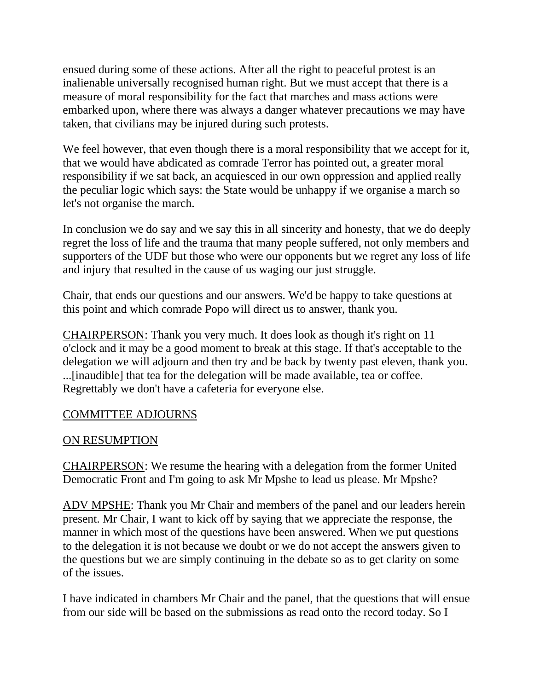ensued during some of these actions. After all the right to peaceful protest is an inalienable universally recognised human right. But we must accept that there is a measure of moral responsibility for the fact that marches and mass actions were embarked upon, where there was always a danger whatever precautions we may have taken, that civilians may be injured during such protests.

We feel however, that even though there is a moral responsibility that we accept for it, that we would have abdicated as comrade Terror has pointed out, a greater moral responsibility if we sat back, an acquiesced in our own oppression and applied really the peculiar logic which says: the State would be unhappy if we organise a march so let's not organise the march.

In conclusion we do say and we say this in all sincerity and honesty, that we do deeply regret the loss of life and the trauma that many people suffered, not only members and supporters of the UDF but those who were our opponents but we regret any loss of life and injury that resulted in the cause of us waging our just struggle.

Chair, that ends our questions and our answers. We'd be happy to take questions at this point and which comrade Popo will direct us to answer, thank you.

CHAIRPERSON: Thank you very much. It does look as though it's right on 11 o'clock and it may be a good moment to break at this stage. If that's acceptable to the delegation we will adjourn and then try and be back by twenty past eleven, thank you. ...[inaudible] that tea for the delegation will be made available, tea or coffee. Regrettably we don't have a cafeteria for everyone else.

#### COMMITTEE ADJOURNS

#### ON RESUMPTION

CHAIRPERSON: We resume the hearing with a delegation from the former United Democratic Front and I'm going to ask Mr Mpshe to lead us please. Mr Mpshe?

ADV MPSHE: Thank you Mr Chair and members of the panel and our leaders herein present. Mr Chair, I want to kick off by saying that we appreciate the response, the manner in which most of the questions have been answered. When we put questions to the delegation it is not because we doubt or we do not accept the answers given to the questions but we are simply continuing in the debate so as to get clarity on some of the issues.

I have indicated in chambers Mr Chair and the panel, that the questions that will ensue from our side will be based on the submissions as read onto the record today. So I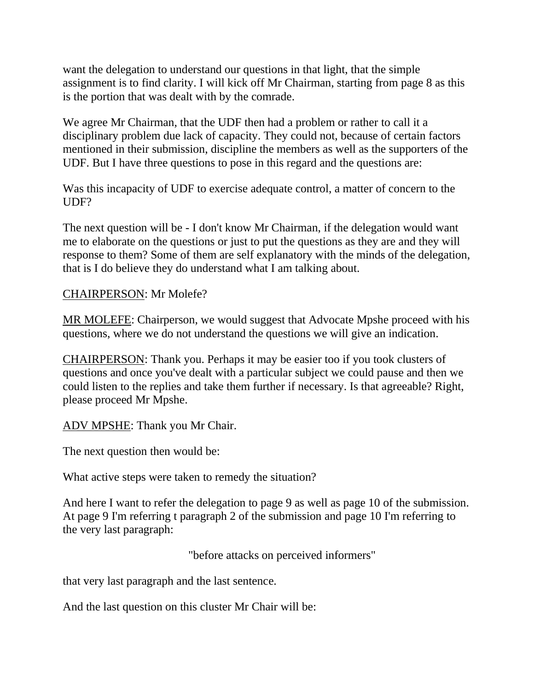want the delegation to understand our questions in that light, that the simple assignment is to find clarity. I will kick off Mr Chairman, starting from page 8 as this is the portion that was dealt with by the comrade.

We agree Mr Chairman, that the UDF then had a problem or rather to call it a disciplinary problem due lack of capacity. They could not, because of certain factors mentioned in their submission, discipline the members as well as the supporters of the UDF. But I have three questions to pose in this regard and the questions are:

Was this incapacity of UDF to exercise adequate control, a matter of concern to the UDF?

The next question will be - I don't know Mr Chairman, if the delegation would want me to elaborate on the questions or just to put the questions as they are and they will response to them? Some of them are self explanatory with the minds of the delegation, that is I do believe they do understand what I am talking about.

#### CHAIRPERSON: Mr Molefe?

MR MOLEFE: Chairperson, we would suggest that Advocate Mpshe proceed with his questions, where we do not understand the questions we will give an indication.

CHAIRPERSON: Thank you. Perhaps it may be easier too if you took clusters of questions and once you've dealt with a particular subject we could pause and then we could listen to the replies and take them further if necessary. Is that agreeable? Right, please proceed Mr Mpshe.

ADV MPSHE: Thank you Mr Chair.

The next question then would be:

What active steps were taken to remedy the situation?

And here I want to refer the delegation to page 9 as well as page 10 of the submission. At page 9 I'm referring t paragraph 2 of the submission and page 10 I'm referring to the very last paragraph:

"before attacks on perceived informers"

that very last paragraph and the last sentence.

And the last question on this cluster Mr Chair will be: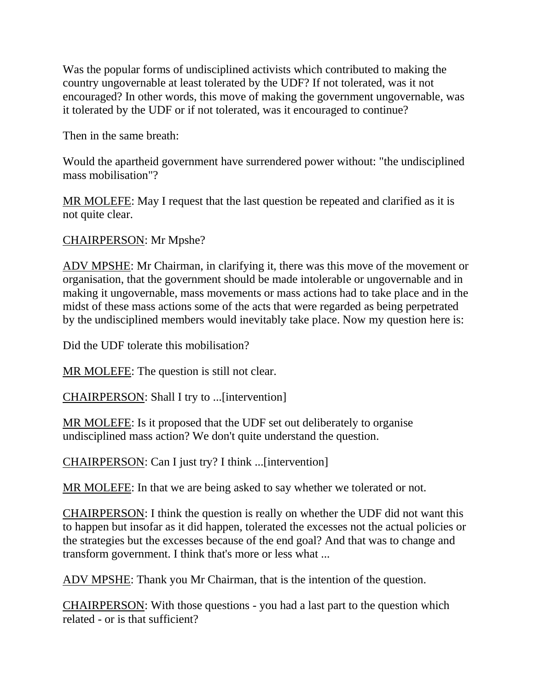Was the popular forms of undisciplined activists which contributed to making the country ungovernable at least tolerated by the UDF? If not tolerated, was it not encouraged? In other words, this move of making the government ungovernable, was it tolerated by the UDF or if not tolerated, was it encouraged to continue?

Then in the same breath:

Would the apartheid government have surrendered power without: "the undisciplined mass mobilisation"?

MR MOLEFE: May I request that the last question be repeated and clarified as it is not quite clear.

CHAIRPERSON: Mr Mpshe?

ADV MPSHE: Mr Chairman, in clarifying it, there was this move of the movement or organisation, that the government should be made intolerable or ungovernable and in making it ungovernable, mass movements or mass actions had to take place and in the midst of these mass actions some of the acts that were regarded as being perpetrated by the undisciplined members would inevitably take place. Now my question here is:

Did the UDF tolerate this mobilisation?

MR MOLEFE: The question is still not clear.

CHAIRPERSON: Shall I try to ...[intervention]

MR MOLEFE: Is it proposed that the UDF set out deliberately to organise undisciplined mass action? We don't quite understand the question.

CHAIRPERSON: Can I just try? I think ...[intervention]

MR MOLEFE: In that we are being asked to say whether we tolerated or not.

CHAIRPERSON: I think the question is really on whether the UDF did not want this to happen but insofar as it did happen, tolerated the excesses not the actual policies or the strategies but the excesses because of the end goal? And that was to change and transform government. I think that's more or less what ...

ADV MPSHE: Thank you Mr Chairman, that is the intention of the question.

CHAIRPERSON: With those questions - you had a last part to the question which related - or is that sufficient?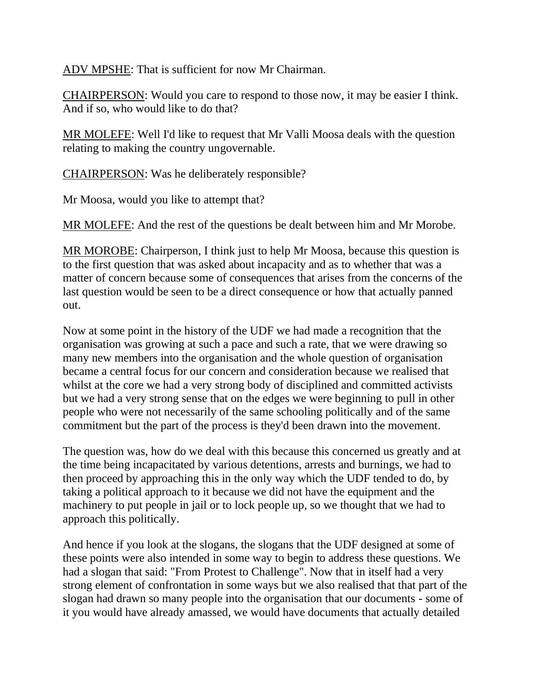ADV MPSHE: That is sufficient for now Mr Chairman.

CHAIRPERSON: Would you care to respond to those now, it may be easier I think. And if so, who would like to do that?

MR MOLEFE: Well I'd like to request that Mr Valli Moosa deals with the question relating to making the country ungovernable.

CHAIRPERSON: Was he deliberately responsible?

Mr Moosa, would you like to attempt that?

MR MOLEFE: And the rest of the questions be dealt between him and Mr Morobe.

MR MOROBE: Chairperson, I think just to help Mr Moosa, because this question is to the first question that was asked about incapacity and as to whether that was a matter of concern because some of consequences that arises from the concerns of the last question would be seen to be a direct consequence or how that actually panned out.

Now at some point in the history of the UDF we had made a recognition that the organisation was growing at such a pace and such a rate, that we were drawing so many new members into the organisation and the whole question of organisation became a central focus for our concern and consideration because we realised that whilst at the core we had a very strong body of disciplined and committed activists but we had a very strong sense that on the edges we were beginning to pull in other people who were not necessarily of the same schooling politically and of the same commitment but the part of the process is they'd been drawn into the movement.

The question was, how do we deal with this because this concerned us greatly and at the time being incapacitated by various detentions, arrests and burnings, we had to then proceed by approaching this in the only way which the UDF tended to do, by taking a political approach to it because we did not have the equipment and the machinery to put people in jail or to lock people up, so we thought that we had to approach this politically.

And hence if you look at the slogans, the slogans that the UDF designed at some of these points were also intended in some way to begin to address these questions. We had a slogan that said: "From Protest to Challenge". Now that in itself had a very strong element of confrontation in some ways but we also realised that that part of the slogan had drawn so many people into the organisation that our documents - some of it you would have already amassed, we would have documents that actually detailed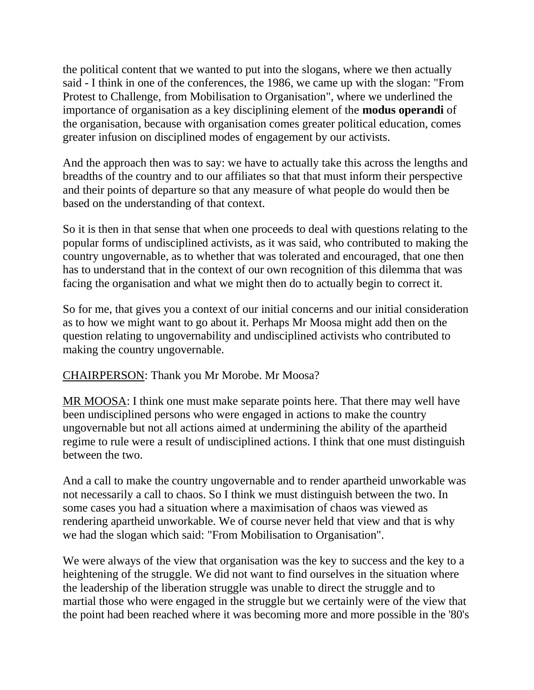the political content that we wanted to put into the slogans, where we then actually said - I think in one of the conferences, the 1986, we came up with the slogan: "From Protest to Challenge, from Mobilisation to Organisation", where we underlined the importance of organisation as a key disciplining element of the **modus operandi** of the organisation, because with organisation comes greater political education, comes greater infusion on disciplined modes of engagement by our activists.

And the approach then was to say: we have to actually take this across the lengths and breadths of the country and to our affiliates so that that must inform their perspective and their points of departure so that any measure of what people do would then be based on the understanding of that context.

So it is then in that sense that when one proceeds to deal with questions relating to the popular forms of undisciplined activists, as it was said, who contributed to making the country ungovernable, as to whether that was tolerated and encouraged, that one then has to understand that in the context of our own recognition of this dilemma that was facing the organisation and what we might then do to actually begin to correct it.

So for me, that gives you a context of our initial concerns and our initial consideration as to how we might want to go about it. Perhaps Mr Moosa might add then on the question relating to ungovernability and undisciplined activists who contributed to making the country ungovernable.

CHAIRPERSON: Thank you Mr Morobe. Mr Moosa?

MR MOOSA: I think one must make separate points here. That there may well have been undisciplined persons who were engaged in actions to make the country ungovernable but not all actions aimed at undermining the ability of the apartheid regime to rule were a result of undisciplined actions. I think that one must distinguish between the two.

And a call to make the country ungovernable and to render apartheid unworkable was not necessarily a call to chaos. So I think we must distinguish between the two. In some cases you had a situation where a maximisation of chaos was viewed as rendering apartheid unworkable. We of course never held that view and that is why we had the slogan which said: "From Mobilisation to Organisation".

We were always of the view that organisation was the key to success and the key to a heightening of the struggle. We did not want to find ourselves in the situation where the leadership of the liberation struggle was unable to direct the struggle and to martial those who were engaged in the struggle but we certainly were of the view that the point had been reached where it was becoming more and more possible in the '80's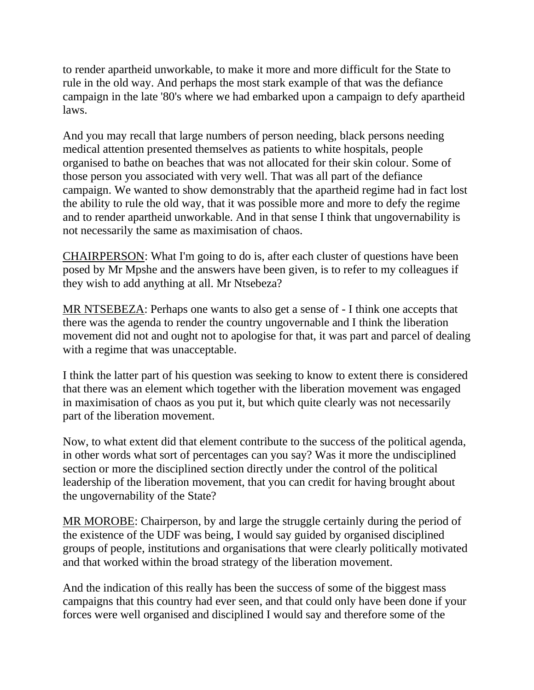to render apartheid unworkable, to make it more and more difficult for the State to rule in the old way. And perhaps the most stark example of that was the defiance campaign in the late '80's where we had embarked upon a campaign to defy apartheid laws.

And you may recall that large numbers of person needing, black persons needing medical attention presented themselves as patients to white hospitals, people organised to bathe on beaches that was not allocated for their skin colour. Some of those person you associated with very well. That was all part of the defiance campaign. We wanted to show demonstrably that the apartheid regime had in fact lost the ability to rule the old way, that it was possible more and more to defy the regime and to render apartheid unworkable. And in that sense I think that ungovernability is not necessarily the same as maximisation of chaos.

CHAIRPERSON: What I'm going to do is, after each cluster of questions have been posed by Mr Mpshe and the answers have been given, is to refer to my colleagues if they wish to add anything at all. Mr Ntsebeza?

MR NTSEBEZA: Perhaps one wants to also get a sense of - I think one accepts that there was the agenda to render the country ungovernable and I think the liberation movement did not and ought not to apologise for that, it was part and parcel of dealing with a regime that was unacceptable.

I think the latter part of his question was seeking to know to extent there is considered that there was an element which together with the liberation movement was engaged in maximisation of chaos as you put it, but which quite clearly was not necessarily part of the liberation movement.

Now, to what extent did that element contribute to the success of the political agenda, in other words what sort of percentages can you say? Was it more the undisciplined section or more the disciplined section directly under the control of the political leadership of the liberation movement, that you can credit for having brought about the ungovernability of the State?

MR MOROBE: Chairperson, by and large the struggle certainly during the period of the existence of the UDF was being, I would say guided by organised disciplined groups of people, institutions and organisations that were clearly politically motivated and that worked within the broad strategy of the liberation movement.

And the indication of this really has been the success of some of the biggest mass campaigns that this country had ever seen, and that could only have been done if your forces were well organised and disciplined I would say and therefore some of the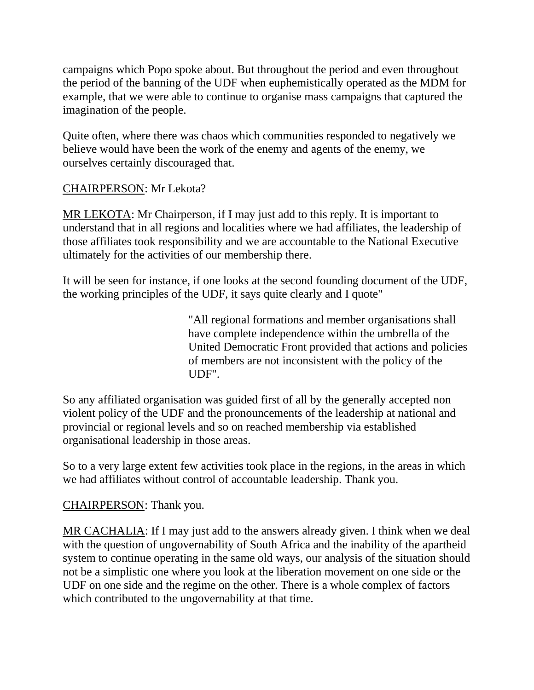campaigns which Popo spoke about. But throughout the period and even throughout the period of the banning of the UDF when euphemistically operated as the MDM for example, that we were able to continue to organise mass campaigns that captured the imagination of the people.

Quite often, where there was chaos which communities responded to negatively we believe would have been the work of the enemy and agents of the enemy, we ourselves certainly discouraged that.

#### CHAIRPERSON: Mr Lekota?

MR LEKOTA: Mr Chairperson, if I may just add to this reply. It is important to understand that in all regions and localities where we had affiliates, the leadership of those affiliates took responsibility and we are accountable to the National Executive ultimately for the activities of our membership there.

It will be seen for instance, if one looks at the second founding document of the UDF, the working principles of the UDF, it says quite clearly and I quote"

> "All regional formations and member organisations shall have complete independence within the umbrella of the United Democratic Front provided that actions and policies of members are not inconsistent with the policy of the UDF".

So any affiliated organisation was guided first of all by the generally accepted non violent policy of the UDF and the pronouncements of the leadership at national and provincial or regional levels and so on reached membership via established organisational leadership in those areas.

So to a very large extent few activities took place in the regions, in the areas in which we had affiliates without control of accountable leadership. Thank you.

#### CHAIRPERSON: Thank you.

MR CACHALIA: If I may just add to the answers already given. I think when we deal with the question of ungovernability of South Africa and the inability of the apartheid system to continue operating in the same old ways, our analysis of the situation should not be a simplistic one where you look at the liberation movement on one side or the UDF on one side and the regime on the other. There is a whole complex of factors which contributed to the ungovernability at that time.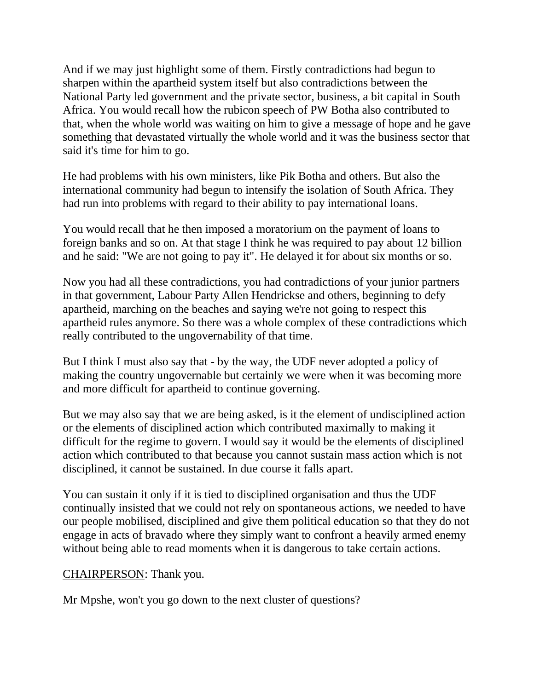And if we may just highlight some of them. Firstly contradictions had begun to sharpen within the apartheid system itself but also contradictions between the National Party led government and the private sector, business, a bit capital in South Africa. You would recall how the rubicon speech of PW Botha also contributed to that, when the whole world was waiting on him to give a message of hope and he gave something that devastated virtually the whole world and it was the business sector that said it's time for him to go.

He had problems with his own ministers, like Pik Botha and others. But also the international community had begun to intensify the isolation of South Africa. They had run into problems with regard to their ability to pay international loans.

You would recall that he then imposed a moratorium on the payment of loans to foreign banks and so on. At that stage I think he was required to pay about 12 billion and he said: "We are not going to pay it". He delayed it for about six months or so.

Now you had all these contradictions, you had contradictions of your junior partners in that government, Labour Party Allen Hendrickse and others, beginning to defy apartheid, marching on the beaches and saying we're not going to respect this apartheid rules anymore. So there was a whole complex of these contradictions which really contributed to the ungovernability of that time.

But I think I must also say that - by the way, the UDF never adopted a policy of making the country ungovernable but certainly we were when it was becoming more and more difficult for apartheid to continue governing.

But we may also say that we are being asked, is it the element of undisciplined action or the elements of disciplined action which contributed maximally to making it difficult for the regime to govern. I would say it would be the elements of disciplined action which contributed to that because you cannot sustain mass action which is not disciplined, it cannot be sustained. In due course it falls apart.

You can sustain it only if it is tied to disciplined organisation and thus the UDF continually insisted that we could not rely on spontaneous actions, we needed to have our people mobilised, disciplined and give them political education so that they do not engage in acts of bravado where they simply want to confront a heavily armed enemy without being able to read moments when it is dangerous to take certain actions.

#### CHAIRPERSON: Thank you.

Mr Mpshe, won't you go down to the next cluster of questions?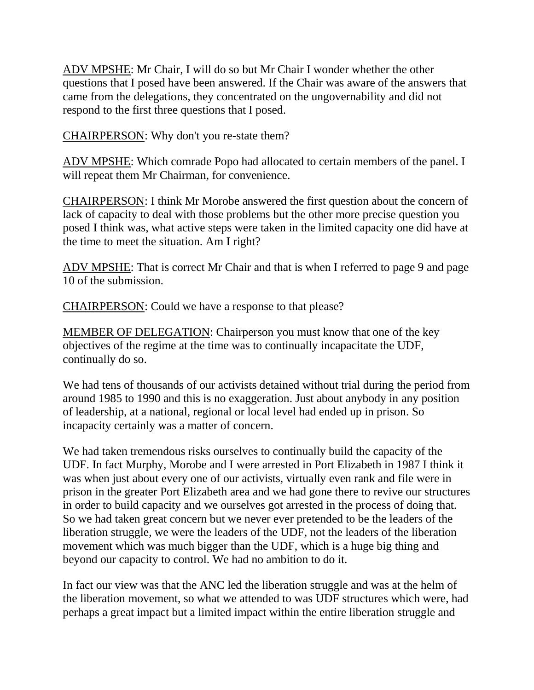ADV MPSHE: Mr Chair, I will do so but Mr Chair I wonder whether the other questions that I posed have been answered. If the Chair was aware of the answers that came from the delegations, they concentrated on the ungovernability and did not respond to the first three questions that I posed.

CHAIRPERSON: Why don't you re-state them?

ADV MPSHE: Which comrade Popo had allocated to certain members of the panel. I will repeat them Mr Chairman, for convenience.

CHAIRPERSON: I think Mr Morobe answered the first question about the concern of lack of capacity to deal with those problems but the other more precise question you posed I think was, what active steps were taken in the limited capacity one did have at the time to meet the situation. Am I right?

ADV MPSHE: That is correct Mr Chair and that is when I referred to page 9 and page 10 of the submission.

CHAIRPERSON: Could we have a response to that please?

MEMBER OF DELEGATION: Chairperson you must know that one of the key objectives of the regime at the time was to continually incapacitate the UDF, continually do so.

We had tens of thousands of our activists detained without trial during the period from around 1985 to 1990 and this is no exaggeration. Just about anybody in any position of leadership, at a national, regional or local level had ended up in prison. So incapacity certainly was a matter of concern.

We had taken tremendous risks ourselves to continually build the capacity of the UDF. In fact Murphy, Morobe and I were arrested in Port Elizabeth in 1987 I think it was when just about every one of our activists, virtually even rank and file were in prison in the greater Port Elizabeth area and we had gone there to revive our structures in order to build capacity and we ourselves got arrested in the process of doing that. So we had taken great concern but we never ever pretended to be the leaders of the liberation struggle, we were the leaders of the UDF, not the leaders of the liberation movement which was much bigger than the UDF, which is a huge big thing and beyond our capacity to control. We had no ambition to do it.

In fact our view was that the ANC led the liberation struggle and was at the helm of the liberation movement, so what we attended to was UDF structures which were, had perhaps a great impact but a limited impact within the entire liberation struggle and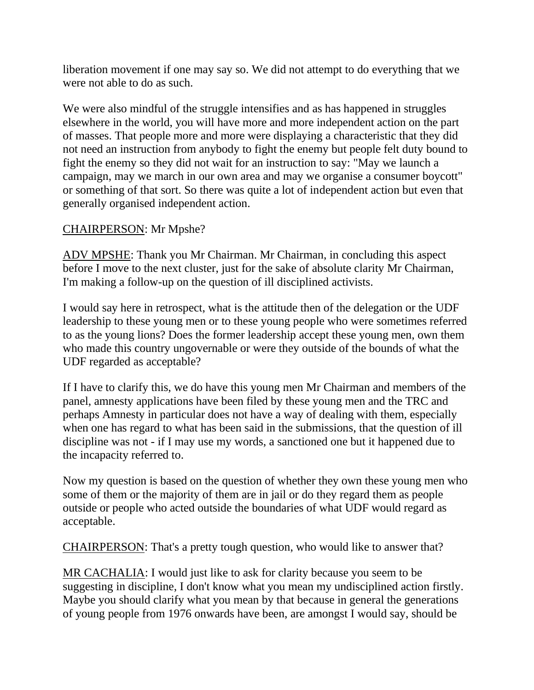liberation movement if one may say so. We did not attempt to do everything that we were not able to do as such.

We were also mindful of the struggle intensifies and as has happened in struggles elsewhere in the world, you will have more and more independent action on the part of masses. That people more and more were displaying a characteristic that they did not need an instruction from anybody to fight the enemy but people felt duty bound to fight the enemy so they did not wait for an instruction to say: "May we launch a campaign, may we march in our own area and may we organise a consumer boycott" or something of that sort. So there was quite a lot of independent action but even that generally organised independent action.

#### CHAIRPERSON: Mr Mpshe?

ADV MPSHE: Thank you Mr Chairman. Mr Chairman, in concluding this aspect before I move to the next cluster, just for the sake of absolute clarity Mr Chairman, I'm making a follow-up on the question of ill disciplined activists.

I would say here in retrospect, what is the attitude then of the delegation or the UDF leadership to these young men or to these young people who were sometimes referred to as the young lions? Does the former leadership accept these young men, own them who made this country ungovernable or were they outside of the bounds of what the UDF regarded as acceptable?

If I have to clarify this, we do have this young men Mr Chairman and members of the panel, amnesty applications have been filed by these young men and the TRC and perhaps Amnesty in particular does not have a way of dealing with them, especially when one has regard to what has been said in the submissions, that the question of ill discipline was not - if I may use my words, a sanctioned one but it happened due to the incapacity referred to.

Now my question is based on the question of whether they own these young men who some of them or the majority of them are in jail or do they regard them as people outside or people who acted outside the boundaries of what UDF would regard as acceptable.

CHAIRPERSON: That's a pretty tough question, who would like to answer that?

MR CACHALIA: I would just like to ask for clarity because you seem to be suggesting in discipline, I don't know what you mean my undisciplined action firstly. Maybe you should clarify what you mean by that because in general the generations of young people from 1976 onwards have been, are amongst I would say, should be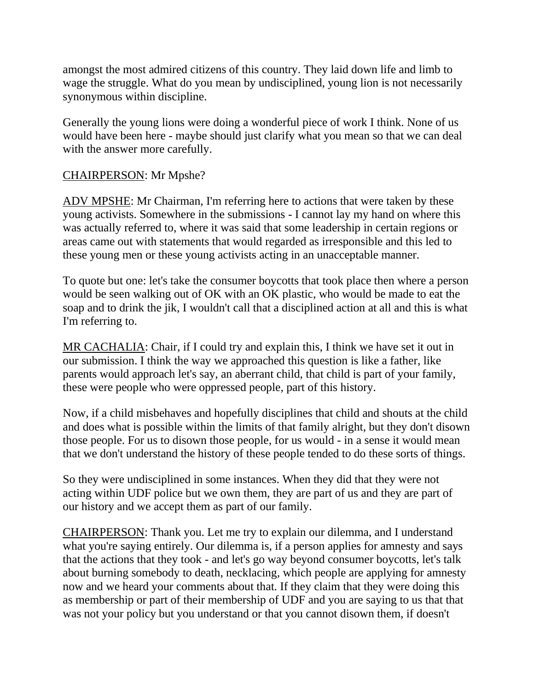amongst the most admired citizens of this country. They laid down life and limb to wage the struggle. What do you mean by undisciplined, young lion is not necessarily synonymous within discipline.

Generally the young lions were doing a wonderful piece of work I think. None of us would have been here - maybe should just clarify what you mean so that we can deal with the answer more carefully.

### CHAIRPERSON: Mr Mpshe?

ADV MPSHE: Mr Chairman, I'm referring here to actions that were taken by these young activists. Somewhere in the submissions - I cannot lay my hand on where this was actually referred to, where it was said that some leadership in certain regions or areas came out with statements that would regarded as irresponsible and this led to these young men or these young activists acting in an unacceptable manner.

To quote but one: let's take the consumer boycotts that took place then where a person would be seen walking out of OK with an OK plastic, who would be made to eat the soap and to drink the jik, I wouldn't call that a disciplined action at all and this is what I'm referring to.

MR CACHALIA: Chair, if I could try and explain this, I think we have set it out in our submission. I think the way we approached this question is like a father, like parents would approach let's say, an aberrant child, that child is part of your family, these were people who were oppressed people, part of this history.

Now, if a child misbehaves and hopefully disciplines that child and shouts at the child and does what is possible within the limits of that family alright, but they don't disown those people. For us to disown those people, for us would - in a sense it would mean that we don't understand the history of these people tended to do these sorts of things.

So they were undisciplined in some instances. When they did that they were not acting within UDF police but we own them, they are part of us and they are part of our history and we accept them as part of our family.

CHAIRPERSON: Thank you. Let me try to explain our dilemma, and I understand what you're saying entirely. Our dilemma is, if a person applies for amnesty and says that the actions that they took - and let's go way beyond consumer boycotts, let's talk about burning somebody to death, necklacing, which people are applying for amnesty now and we heard your comments about that. If they claim that they were doing this as membership or part of their membership of UDF and you are saying to us that that was not your policy but you understand or that you cannot disown them, if doesn't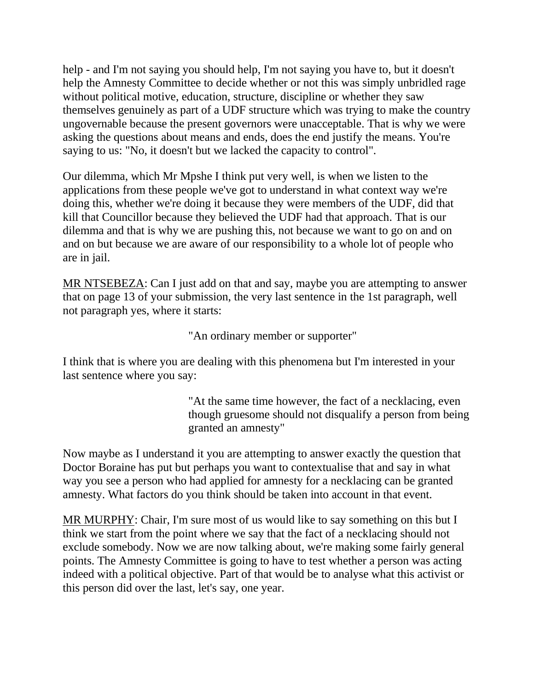help - and I'm not saying you should help, I'm not saying you have to, but it doesn't help the Amnesty Committee to decide whether or not this was simply unbridled rage without political motive, education, structure, discipline or whether they saw themselves genuinely as part of a UDF structure which was trying to make the country ungovernable because the present governors were unacceptable. That is why we were asking the questions about means and ends, does the end justify the means. You're saying to us: "No, it doesn't but we lacked the capacity to control".

Our dilemma, which Mr Mpshe I think put very well, is when we listen to the applications from these people we've got to understand in what context way we're doing this, whether we're doing it because they were members of the UDF, did that kill that Councillor because they believed the UDF had that approach. That is our dilemma and that is why we are pushing this, not because we want to go on and on and on but because we are aware of our responsibility to a whole lot of people who are in jail.

MR NTSEBEZA: Can I just add on that and say, maybe you are attempting to answer that on page 13 of your submission, the very last sentence in the 1st paragraph, well not paragraph yes, where it starts:

"An ordinary member or supporter"

I think that is where you are dealing with this phenomena but I'm interested in your last sentence where you say:

> "At the same time however, the fact of a necklacing, even though gruesome should not disqualify a person from being granted an amnesty"

Now maybe as I understand it you are attempting to answer exactly the question that Doctor Boraine has put but perhaps you want to contextualise that and say in what way you see a person who had applied for amnesty for a necklacing can be granted amnesty. What factors do you think should be taken into account in that event.

MR MURPHY: Chair, I'm sure most of us would like to say something on this but I think we start from the point where we say that the fact of a necklacing should not exclude somebody. Now we are now talking about, we're making some fairly general points. The Amnesty Committee is going to have to test whether a person was acting indeed with a political objective. Part of that would be to analyse what this activist or this person did over the last, let's say, one year.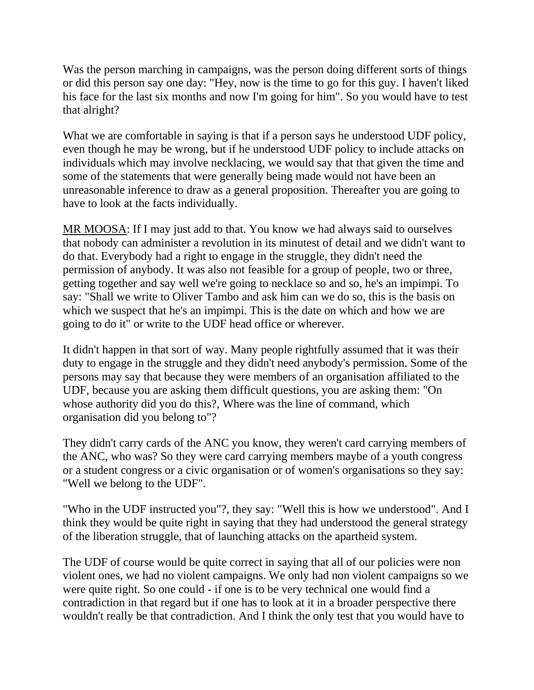Was the person marching in campaigns, was the person doing different sorts of things or did this person say one day: "Hey, now is the time to go for this guy. I haven't liked his face for the last six months and now I'm going for him". So you would have to test that alright?

What we are comfortable in saying is that if a person says he understood UDF policy, even though he may be wrong, but if he understood UDF policy to include attacks on individuals which may involve necklacing, we would say that that given the time and some of the statements that were generally being made would not have been an unreasonable inference to draw as a general proposition. Thereafter you are going to have to look at the facts individually.

MR MOOSA: If I may just add to that. You know we had always said to ourselves that nobody can administer a revolution in its minutest of detail and we didn't want to do that. Everybody had a right to engage in the struggle, they didn't need the permission of anybody. It was also not feasible for a group of people, two or three, getting together and say well we're going to necklace so and so, he's an impimpi. To say: "Shall we write to Oliver Tambo and ask him can we do so, this is the basis on which we suspect that he's an impimpi. This is the date on which and how we are going to do it" or write to the UDF head office or wherever.

It didn't happen in that sort of way. Many people rightfully assumed that it was their duty to engage in the struggle and they didn't need anybody's permission. Some of the persons may say that because they were members of an organisation affiliated to the UDF, because you are asking them difficult questions, you are asking them: "On whose authority did you do this?, Where was the line of command, which organisation did you belong to"?

They didn't carry cards of the ANC you know, they weren't card carrying members of the ANC, who was? So they were card carrying members maybe of a youth congress or a student congress or a civic organisation or of women's organisations so they say: "Well we belong to the UDF".

"Who in the UDF instructed you"?, they say: "Well this is how we understood". And I think they would be quite right in saying that they had understood the general strategy of the liberation struggle, that of launching attacks on the apartheid system.

The UDF of course would be quite correct in saying that all of our policies were non violent ones, we had no violent campaigns. We only had non violent campaigns so we were quite right. So one could - if one is to be very technical one would find a contradiction in that regard but if one has to look at it in a broader perspective there wouldn't really be that contradiction. And I think the only test that you would have to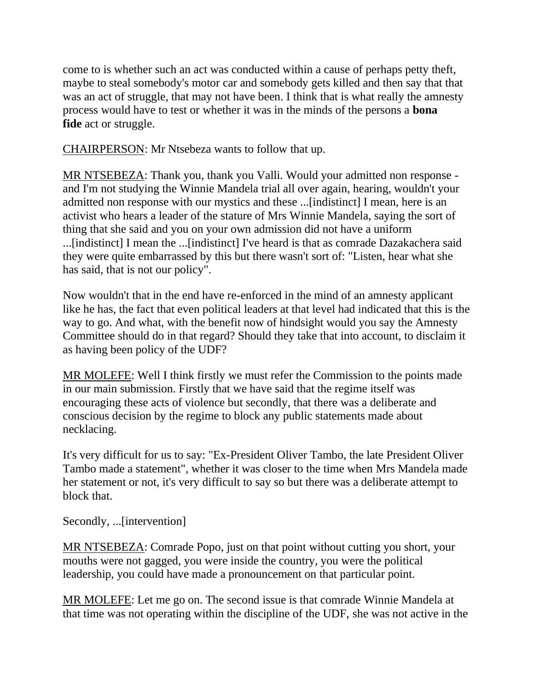come to is whether such an act was conducted within a cause of perhaps petty theft, maybe to steal somebody's motor car and somebody gets killed and then say that that was an act of struggle, that may not have been. I think that is what really the amnesty process would have to test or whether it was in the minds of the persons a **bona fide** act or struggle.

CHAIRPERSON: Mr Ntsebeza wants to follow that up.

MR NTSEBEZA: Thank you, thank you Valli. Would your admitted non response and I'm not studying the Winnie Mandela trial all over again, hearing, wouldn't your admitted non response with our mystics and these ...[indistinct] I mean, here is an activist who hears a leader of the stature of Mrs Winnie Mandela, saying the sort of thing that she said and you on your own admission did not have a uniform ...[indistinct] I mean the ...[indistinct] I've heard is that as comrade Dazakachera said they were quite embarrassed by this but there wasn't sort of: "Listen, hear what she has said, that is not our policy".

Now wouldn't that in the end have re-enforced in the mind of an amnesty applicant like he has, the fact that even political leaders at that level had indicated that this is the way to go. And what, with the benefit now of hindsight would you say the Amnesty Committee should do in that regard? Should they take that into account, to disclaim it as having been policy of the UDF?

MR MOLEFE: Well I think firstly we must refer the Commission to the points made in our main submission. Firstly that we have said that the regime itself was encouraging these acts of violence but secondly, that there was a deliberate and conscious decision by the regime to block any public statements made about necklacing.

It's very difficult for us to say: "Ex-President Oliver Tambo, the late President Oliver Tambo made a statement", whether it was closer to the time when Mrs Mandela made her statement or not, it's very difficult to say so but there was a deliberate attempt to block that.

Secondly, ...[intervention]

MR NTSEBEZA: Comrade Popo, just on that point without cutting you short, your mouths were not gagged, you were inside the country, you were the political leadership, you could have made a pronouncement on that particular point.

MR MOLEFE: Let me go on. The second issue is that comrade Winnie Mandela at that time was not operating within the discipline of the UDF, she was not active in the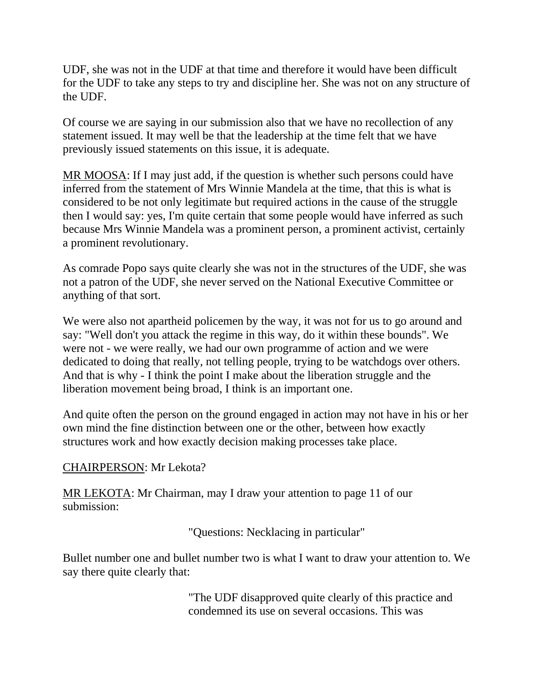UDF, she was not in the UDF at that time and therefore it would have been difficult for the UDF to take any steps to try and discipline her. She was not on any structure of the UDF.

Of course we are saying in our submission also that we have no recollection of any statement issued. It may well be that the leadership at the time felt that we have previously issued statements on this issue, it is adequate.

MR MOOSA: If I may just add, if the question is whether such persons could have inferred from the statement of Mrs Winnie Mandela at the time, that this is what is considered to be not only legitimate but required actions in the cause of the struggle then I would say: yes, I'm quite certain that some people would have inferred as such because Mrs Winnie Mandela was a prominent person, a prominent activist, certainly a prominent revolutionary.

As comrade Popo says quite clearly she was not in the structures of the UDF, she was not a patron of the UDF, she never served on the National Executive Committee or anything of that sort.

We were also not apartheid policemen by the way, it was not for us to go around and say: "Well don't you attack the regime in this way, do it within these bounds". We were not - we were really, we had our own programme of action and we were dedicated to doing that really, not telling people, trying to be watchdogs over others. And that is why - I think the point I make about the liberation struggle and the liberation movement being broad, I think is an important one.

And quite often the person on the ground engaged in action may not have in his or her own mind the fine distinction between one or the other, between how exactly structures work and how exactly decision making processes take place.

#### CHAIRPERSON: Mr Lekota?

MR LEKOTA: Mr Chairman, may I draw your attention to page 11 of our submission:

"Questions: Necklacing in particular"

Bullet number one and bullet number two is what I want to draw your attention to. We say there quite clearly that:

> "The UDF disapproved quite clearly of this practice and condemned its use on several occasions. This was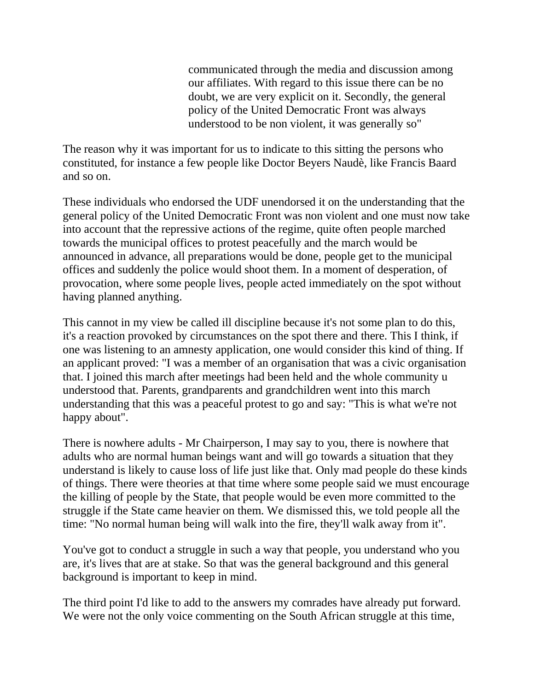communicated through the media and discussion among our affiliates. With regard to this issue there can be no doubt, we are very explicit on it. Secondly, the general policy of the United Democratic Front was always understood to be non violent, it was generally so"

The reason why it was important for us to indicate to this sitting the persons who constituted, for instance a few people like Doctor Beyers Naudè, like Francis Baard and so on.

These individuals who endorsed the UDF unendorsed it on the understanding that the general policy of the United Democratic Front was non violent and one must now take into account that the repressive actions of the regime, quite often people marched towards the municipal offices to protest peacefully and the march would be announced in advance, all preparations would be done, people get to the municipal offices and suddenly the police would shoot them. In a moment of desperation, of provocation, where some people lives, people acted immediately on the spot without having planned anything.

This cannot in my view be called ill discipline because it's not some plan to do this, it's a reaction provoked by circumstances on the spot there and there. This I think, if one was listening to an amnesty application, one would consider this kind of thing. If an applicant proved: "I was a member of an organisation that was a civic organisation that. I joined this march after meetings had been held and the whole community u understood that. Parents, grandparents and grandchildren went into this march understanding that this was a peaceful protest to go and say: "This is what we're not happy about".

There is nowhere adults - Mr Chairperson, I may say to you, there is nowhere that adults who are normal human beings want and will go towards a situation that they understand is likely to cause loss of life just like that. Only mad people do these kinds of things. There were theories at that time where some people said we must encourage the killing of people by the State, that people would be even more committed to the struggle if the State came heavier on them. We dismissed this, we told people all the time: "No normal human being will walk into the fire, they'll walk away from it".

You've got to conduct a struggle in such a way that people, you understand who you are, it's lives that are at stake. So that was the general background and this general background is important to keep in mind.

The third point I'd like to add to the answers my comrades have already put forward. We were not the only voice commenting on the South African struggle at this time,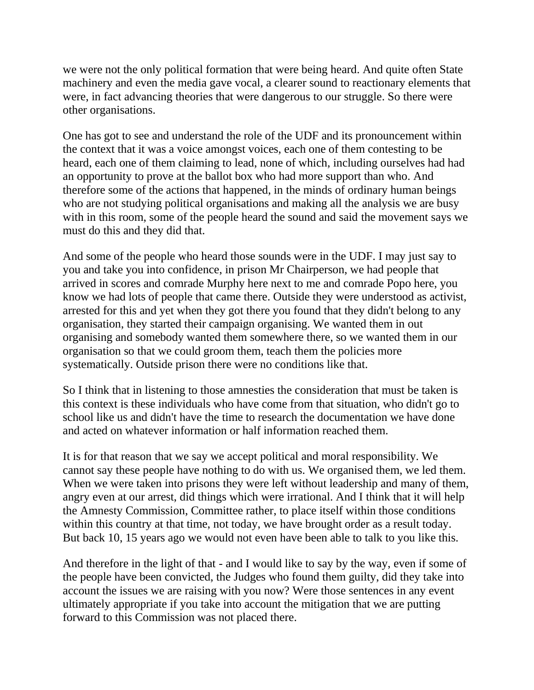we were not the only political formation that were being heard. And quite often State machinery and even the media gave vocal, a clearer sound to reactionary elements that were, in fact advancing theories that were dangerous to our struggle. So there were other organisations.

One has got to see and understand the role of the UDF and its pronouncement within the context that it was a voice amongst voices, each one of them contesting to be heard, each one of them claiming to lead, none of which, including ourselves had had an opportunity to prove at the ballot box who had more support than who. And therefore some of the actions that happened, in the minds of ordinary human beings who are not studying political organisations and making all the analysis we are busy with in this room, some of the people heard the sound and said the movement says we must do this and they did that.

And some of the people who heard those sounds were in the UDF. I may just say to you and take you into confidence, in prison Mr Chairperson, we had people that arrived in scores and comrade Murphy here next to me and comrade Popo here, you know we had lots of people that came there. Outside they were understood as activist, arrested for this and yet when they got there you found that they didn't belong to any organisation, they started their campaign organising. We wanted them in out organising and somebody wanted them somewhere there, so we wanted them in our organisation so that we could groom them, teach them the policies more systematically. Outside prison there were no conditions like that.

So I think that in listening to those amnesties the consideration that must be taken is this context is these individuals who have come from that situation, who didn't go to school like us and didn't have the time to research the documentation we have done and acted on whatever information or half information reached them.

It is for that reason that we say we accept political and moral responsibility. We cannot say these people have nothing to do with us. We organised them, we led them. When we were taken into prisons they were left without leadership and many of them, angry even at our arrest, did things which were irrational. And I think that it will help the Amnesty Commission, Committee rather, to place itself within those conditions within this country at that time, not today, we have brought order as a result today. But back 10, 15 years ago we would not even have been able to talk to you like this.

And therefore in the light of that - and I would like to say by the way, even if some of the people have been convicted, the Judges who found them guilty, did they take into account the issues we are raising with you now? Were those sentences in any event ultimately appropriate if you take into account the mitigation that we are putting forward to this Commission was not placed there.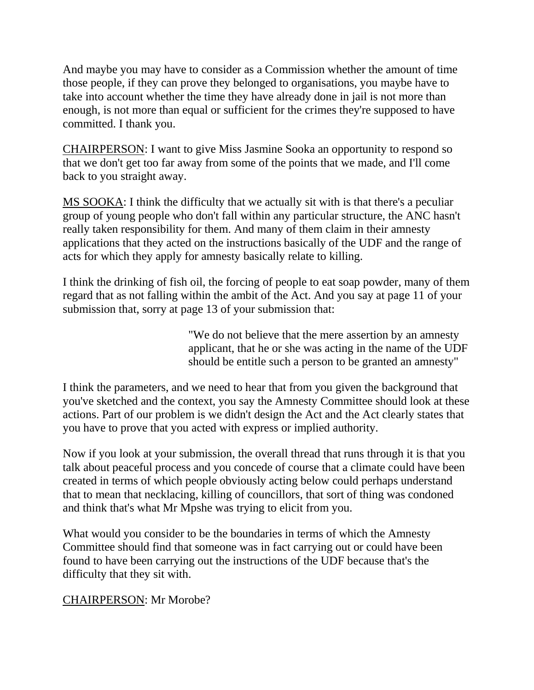And maybe you may have to consider as a Commission whether the amount of time those people, if they can prove they belonged to organisations, you maybe have to take into account whether the time they have already done in jail is not more than enough, is not more than equal or sufficient for the crimes they're supposed to have committed. I thank you.

CHAIRPERSON: I want to give Miss Jasmine Sooka an opportunity to respond so that we don't get too far away from some of the points that we made, and I'll come back to you straight away.

MS SOOKA: I think the difficulty that we actually sit with is that there's a peculiar group of young people who don't fall within any particular structure, the ANC hasn't really taken responsibility for them. And many of them claim in their amnesty applications that they acted on the instructions basically of the UDF and the range of acts for which they apply for amnesty basically relate to killing.

I think the drinking of fish oil, the forcing of people to eat soap powder, many of them regard that as not falling within the ambit of the Act. And you say at page 11 of your submission that, sorry at page 13 of your submission that:

> "We do not believe that the mere assertion by an amnesty applicant, that he or she was acting in the name of the UDF should be entitle such a person to be granted an amnesty"

I think the parameters, and we need to hear that from you given the background that you've sketched and the context, you say the Amnesty Committee should look at these actions. Part of our problem is we didn't design the Act and the Act clearly states that you have to prove that you acted with express or implied authority.

Now if you look at your submission, the overall thread that runs through it is that you talk about peaceful process and you concede of course that a climate could have been created in terms of which people obviously acting below could perhaps understand that to mean that necklacing, killing of councillors, that sort of thing was condoned and think that's what Mr Mpshe was trying to elicit from you.

What would you consider to be the boundaries in terms of which the Amnesty Committee should find that someone was in fact carrying out or could have been found to have been carrying out the instructions of the UDF because that's the difficulty that they sit with.

CHAIRPERSON: Mr Morobe?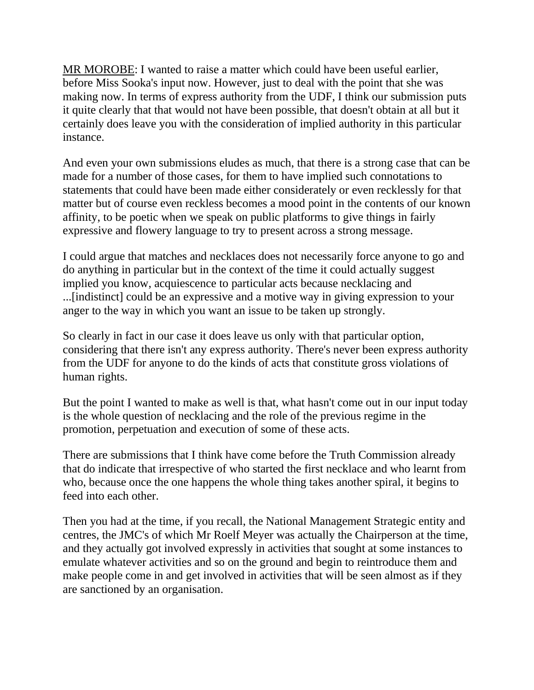MR MOROBE: I wanted to raise a matter which could have been useful earlier, before Miss Sooka's input now. However, just to deal with the point that she was making now. In terms of express authority from the UDF, I think our submission puts it quite clearly that that would not have been possible, that doesn't obtain at all but it certainly does leave you with the consideration of implied authority in this particular instance.

And even your own submissions eludes as much, that there is a strong case that can be made for a number of those cases, for them to have implied such connotations to statements that could have been made either considerately or even recklessly for that matter but of course even reckless becomes a mood point in the contents of our known affinity, to be poetic when we speak on public platforms to give things in fairly expressive and flowery language to try to present across a strong message.

I could argue that matches and necklaces does not necessarily force anyone to go and do anything in particular but in the context of the time it could actually suggest implied you know, acquiescence to particular acts because necklacing and ...[indistinct] could be an expressive and a motive way in giving expression to your anger to the way in which you want an issue to be taken up strongly.

So clearly in fact in our case it does leave us only with that particular option, considering that there isn't any express authority. There's never been express authority from the UDF for anyone to do the kinds of acts that constitute gross violations of human rights.

But the point I wanted to make as well is that, what hasn't come out in our input today is the whole question of necklacing and the role of the previous regime in the promotion, perpetuation and execution of some of these acts.

There are submissions that I think have come before the Truth Commission already that do indicate that irrespective of who started the first necklace and who learnt from who, because once the one happens the whole thing takes another spiral, it begins to feed into each other.

Then you had at the time, if you recall, the National Management Strategic entity and centres, the JMC's of which Mr Roelf Meyer was actually the Chairperson at the time, and they actually got involved expressly in activities that sought at some instances to emulate whatever activities and so on the ground and begin to reintroduce them and make people come in and get involved in activities that will be seen almost as if they are sanctioned by an organisation.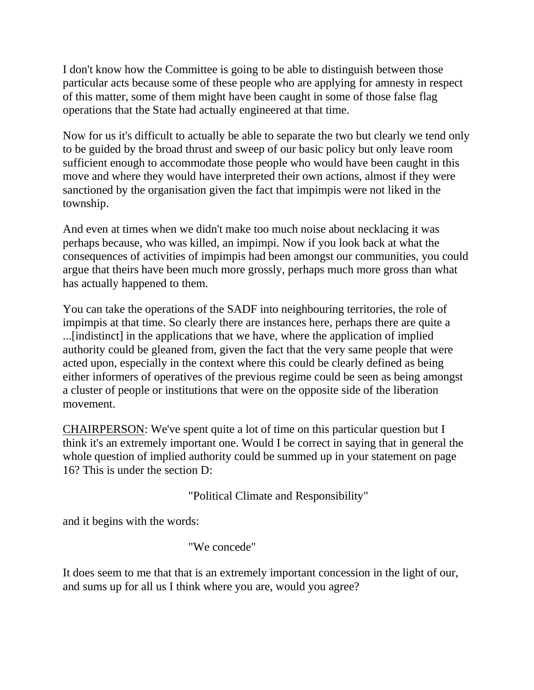I don't know how the Committee is going to be able to distinguish between those particular acts because some of these people who are applying for amnesty in respect of this matter, some of them might have been caught in some of those false flag operations that the State had actually engineered at that time.

Now for us it's difficult to actually be able to separate the two but clearly we tend only to be guided by the broad thrust and sweep of our basic policy but only leave room sufficient enough to accommodate those people who would have been caught in this move and where they would have interpreted their own actions, almost if they were sanctioned by the organisation given the fact that impimpis were not liked in the township.

And even at times when we didn't make too much noise about necklacing it was perhaps because, who was killed, an impimpi. Now if you look back at what the consequences of activities of impimpis had been amongst our communities, you could argue that theirs have been much more grossly, perhaps much more gross than what has actually happened to them.

You can take the operations of the SADF into neighbouring territories, the role of impimpis at that time. So clearly there are instances here, perhaps there are quite a ...[indistinct] in the applications that we have, where the application of implied authority could be gleaned from, given the fact that the very same people that were acted upon, especially in the context where this could be clearly defined as being either informers of operatives of the previous regime could be seen as being amongst a cluster of people or institutions that were on the opposite side of the liberation movement.

CHAIRPERSON: We've spent quite a lot of time on this particular question but I think it's an extremely important one. Would I be correct in saying that in general the whole question of implied authority could be summed up in your statement on page 16? This is under the section D:

"Political Climate and Responsibility"

and it begins with the words:

"We concede"

It does seem to me that that is an extremely important concession in the light of our, and sums up for all us I think where you are, would you agree?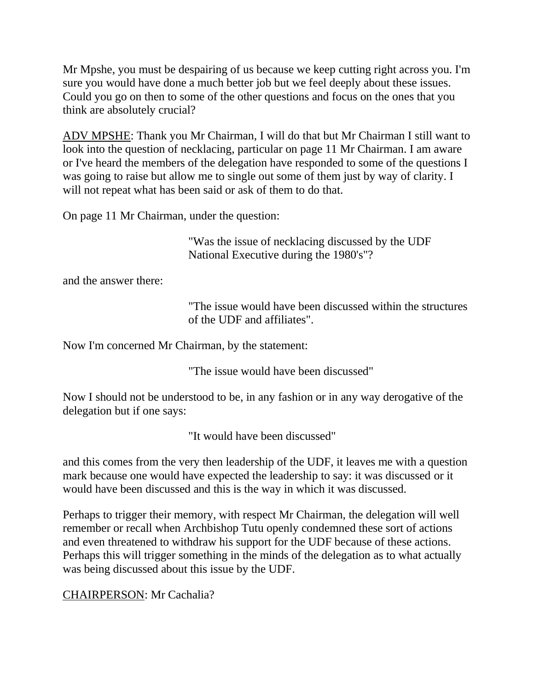Mr Mpshe, you must be despairing of us because we keep cutting right across you. I'm sure you would have done a much better job but we feel deeply about these issues. Could you go on then to some of the other questions and focus on the ones that you think are absolutely crucial?

ADV MPSHE: Thank you Mr Chairman, I will do that but Mr Chairman I still want to look into the question of necklacing, particular on page 11 Mr Chairman. I am aware or I've heard the members of the delegation have responded to some of the questions I was going to raise but allow me to single out some of them just by way of clarity. I will not repeat what has been said or ask of them to do that.

On page 11 Mr Chairman, under the question:

"Was the issue of necklacing discussed by the UDF National Executive during the 1980's"?

and the answer there:

"The issue would have been discussed within the structures of the UDF and affiliates".

Now I'm concerned Mr Chairman, by the statement:

"The issue would have been discussed"

Now I should not be understood to be, in any fashion or in any way derogative of the delegation but if one says:

"It would have been discussed"

and this comes from the very then leadership of the UDF, it leaves me with a question mark because one would have expected the leadership to say: it was discussed or it would have been discussed and this is the way in which it was discussed.

Perhaps to trigger their memory, with respect Mr Chairman, the delegation will well remember or recall when Archbishop Tutu openly condemned these sort of actions and even threatened to withdraw his support for the UDF because of these actions. Perhaps this will trigger something in the minds of the delegation as to what actually was being discussed about this issue by the UDF.

# CHAIRPERSON: Mr Cachalia?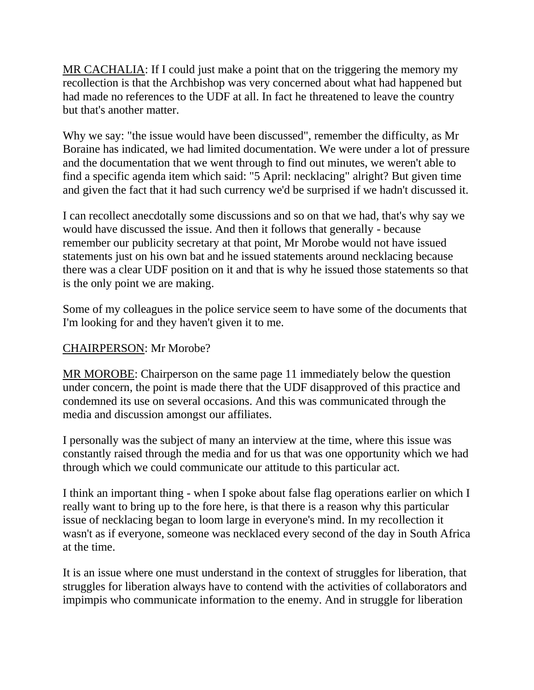MR CACHALIA: If I could just make a point that on the triggering the memory my recollection is that the Archbishop was very concerned about what had happened but had made no references to the UDF at all. In fact he threatened to leave the country but that's another matter.

Why we say: "the issue would have been discussed", remember the difficulty, as Mr Boraine has indicated, we had limited documentation. We were under a lot of pressure and the documentation that we went through to find out minutes, we weren't able to find a specific agenda item which said: "5 April: necklacing" alright? But given time and given the fact that it had such currency we'd be surprised if we hadn't discussed it.

I can recollect anecdotally some discussions and so on that we had, that's why say we would have discussed the issue. And then it follows that generally - because remember our publicity secretary at that point, Mr Morobe would not have issued statements just on his own bat and he issued statements around necklacing because there was a clear UDF position on it and that is why he issued those statements so that is the only point we are making.

Some of my colleagues in the police service seem to have some of the documents that I'm looking for and they haven't given it to me.

### CHAIRPERSON: Mr Morobe?

MR MOROBE: Chairperson on the same page 11 immediately below the question under concern, the point is made there that the UDF disapproved of this practice and condemned its use on several occasions. And this was communicated through the media and discussion amongst our affiliates.

I personally was the subject of many an interview at the time, where this issue was constantly raised through the media and for us that was one opportunity which we had through which we could communicate our attitude to this particular act.

I think an important thing - when I spoke about false flag operations earlier on which I really want to bring up to the fore here, is that there is a reason why this particular issue of necklacing began to loom large in everyone's mind. In my recollection it wasn't as if everyone, someone was necklaced every second of the day in South Africa at the time.

It is an issue where one must understand in the context of struggles for liberation, that struggles for liberation always have to contend with the activities of collaborators and impimpis who communicate information to the enemy. And in struggle for liberation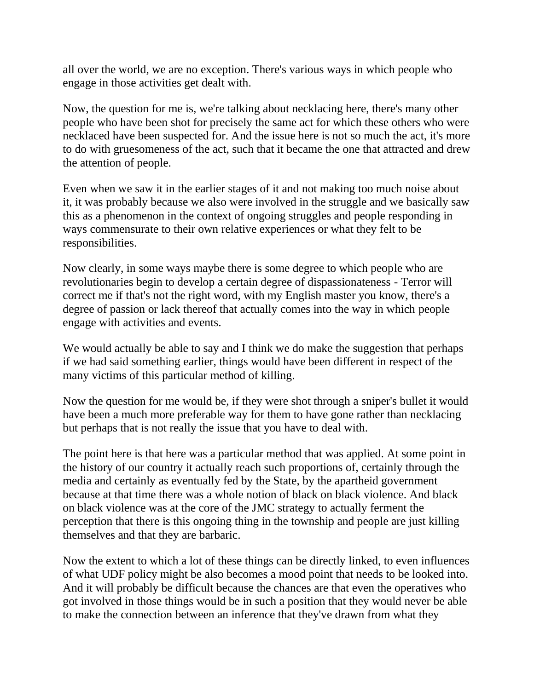all over the world, we are no exception. There's various ways in which people who engage in those activities get dealt with.

Now, the question for me is, we're talking about necklacing here, there's many other people who have been shot for precisely the same act for which these others who were necklaced have been suspected for. And the issue here is not so much the act, it's more to do with gruesomeness of the act, such that it became the one that attracted and drew the attention of people.

Even when we saw it in the earlier stages of it and not making too much noise about it, it was probably because we also were involved in the struggle and we basically saw this as a phenomenon in the context of ongoing struggles and people responding in ways commensurate to their own relative experiences or what they felt to be responsibilities.

Now clearly, in some ways maybe there is some degree to which people who are revolutionaries begin to develop a certain degree of dispassionateness - Terror will correct me if that's not the right word, with my English master you know, there's a degree of passion or lack thereof that actually comes into the way in which people engage with activities and events.

We would actually be able to say and I think we do make the suggestion that perhaps if we had said something earlier, things would have been different in respect of the many victims of this particular method of killing.

Now the question for me would be, if they were shot through a sniper's bullet it would have been a much more preferable way for them to have gone rather than necklacing but perhaps that is not really the issue that you have to deal with.

The point here is that here was a particular method that was applied. At some point in the history of our country it actually reach such proportions of, certainly through the media and certainly as eventually fed by the State, by the apartheid government because at that time there was a whole notion of black on black violence. And black on black violence was at the core of the JMC strategy to actually ferment the perception that there is this ongoing thing in the township and people are just killing themselves and that they are barbaric.

Now the extent to which a lot of these things can be directly linked, to even influences of what UDF policy might be also becomes a mood point that needs to be looked into. And it will probably be difficult because the chances are that even the operatives who got involved in those things would be in such a position that they would never be able to make the connection between an inference that they've drawn from what they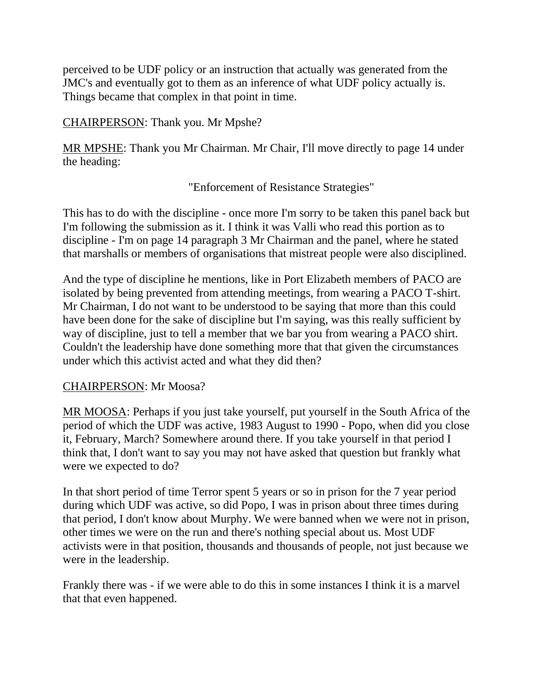perceived to be UDF policy or an instruction that actually was generated from the JMC's and eventually got to them as an inference of what UDF policy actually is. Things became that complex in that point in time.

CHAIRPERSON: Thank you. Mr Mpshe?

MR MPSHE: Thank you Mr Chairman. Mr Chair, I'll move directly to page 14 under the heading:

"Enforcement of Resistance Strategies"

This has to do with the discipline - once more I'm sorry to be taken this panel back but I'm following the submission as it. I think it was Valli who read this portion as to discipline - I'm on page 14 paragraph 3 Mr Chairman and the panel, where he stated that marshalls or members of organisations that mistreat people were also disciplined.

And the type of discipline he mentions, like in Port Elizabeth members of PACO are isolated by being prevented from attending meetings, from wearing a PACO T-shirt. Mr Chairman, I do not want to be understood to be saying that more than this could have been done for the sake of discipline but I'm saying, was this really sufficient by way of discipline, just to tell a member that we bar you from wearing a PACO shirt. Couldn't the leadership have done something more that that given the circumstances under which this activist acted and what they did then?

#### CHAIRPERSON: Mr Moosa?

MR MOOSA: Perhaps if you just take yourself, put yourself in the South Africa of the period of which the UDF was active, 1983 August to 1990 - Popo, when did you close it, February, March? Somewhere around there. If you take yourself in that period I think that, I don't want to say you may not have asked that question but frankly what were we expected to do?

In that short period of time Terror spent 5 years or so in prison for the 7 year period during which UDF was active, so did Popo, I was in prison about three times during that period, I don't know about Murphy. We were banned when we were not in prison, other times we were on the run and there's nothing special about us. Most UDF activists were in that position, thousands and thousands of people, not just because we were in the leadership.

Frankly there was - if we were able to do this in some instances I think it is a marvel that that even happened.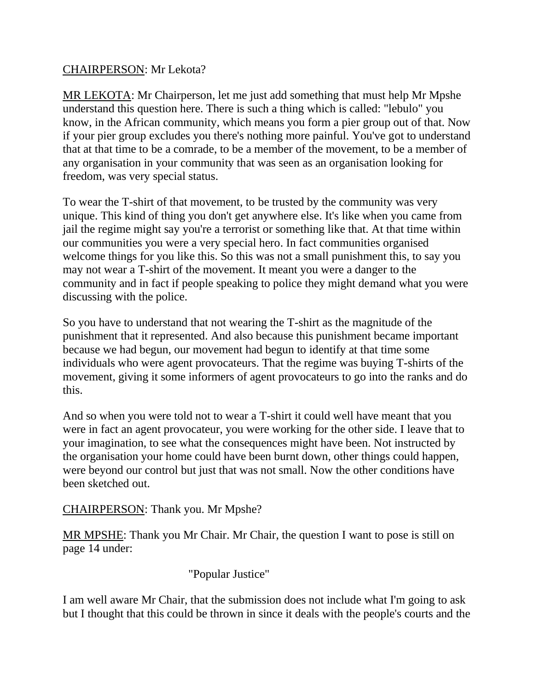## CHAIRPERSON: Mr Lekota?

MR LEKOTA: Mr Chairperson, let me just add something that must help Mr Mpshe understand this question here. There is such a thing which is called: "lebulo" you know, in the African community, which means you form a pier group out of that. Now if your pier group excludes you there's nothing more painful. You've got to understand that at that time to be a comrade, to be a member of the movement, to be a member of any organisation in your community that was seen as an organisation looking for freedom, was very special status.

To wear the T-shirt of that movement, to be trusted by the community was very unique. This kind of thing you don't get anywhere else. It's like when you came from jail the regime might say you're a terrorist or something like that. At that time within our communities you were a very special hero. In fact communities organised welcome things for you like this. So this was not a small punishment this, to say you may not wear a T-shirt of the movement. It meant you were a danger to the community and in fact if people speaking to police they might demand what you were discussing with the police.

So you have to understand that not wearing the T-shirt as the magnitude of the punishment that it represented. And also because this punishment became important because we had begun, our movement had begun to identify at that time some individuals who were agent provocateurs. That the regime was buying T-shirts of the movement, giving it some informers of agent provocateurs to go into the ranks and do this.

And so when you were told not to wear a T-shirt it could well have meant that you were in fact an agent provocateur, you were working for the other side. I leave that to your imagination, to see what the consequences might have been. Not instructed by the organisation your home could have been burnt down, other things could happen, were beyond our control but just that was not small. Now the other conditions have been sketched out.

CHAIRPERSON: Thank you. Mr Mpshe?

MR MPSHE: Thank you Mr Chair. Mr Chair, the question I want to pose is still on page 14 under:

"Popular Justice"

I am well aware Mr Chair, that the submission does not include what I'm going to ask but I thought that this could be thrown in since it deals with the people's courts and the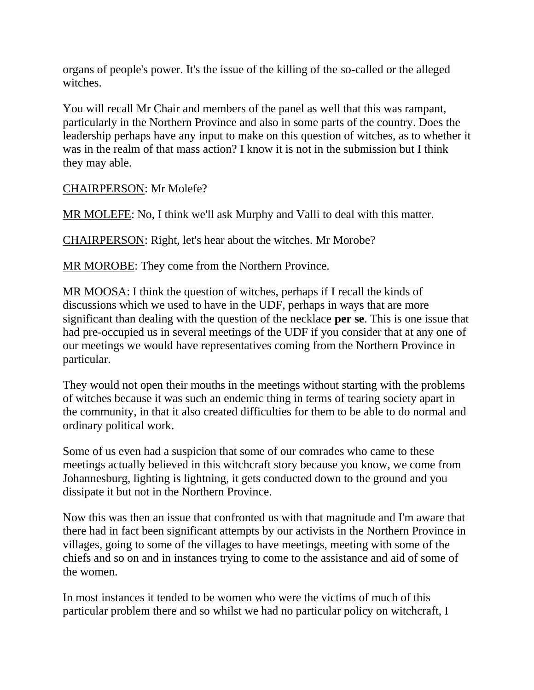organs of people's power. It's the issue of the killing of the so-called or the alleged witches.

You will recall Mr Chair and members of the panel as well that this was rampant, particularly in the Northern Province and also in some parts of the country. Does the leadership perhaps have any input to make on this question of witches, as to whether it was in the realm of that mass action? I know it is not in the submission but I think they may able.

CHAIRPERSON: Mr Molefe?

MR MOLEFE: No, I think we'll ask Murphy and Valli to deal with this matter.

CHAIRPERSON: Right, let's hear about the witches. Mr Morobe?

MR MOROBE: They come from the Northern Province.

MR MOOSA: I think the question of witches, perhaps if I recall the kinds of discussions which we used to have in the UDF, perhaps in ways that are more significant than dealing with the question of the necklace **per se**. This is one issue that had pre-occupied us in several meetings of the UDF if you consider that at any one of our meetings we would have representatives coming from the Northern Province in particular.

They would not open their mouths in the meetings without starting with the problems of witches because it was such an endemic thing in terms of tearing society apart in the community, in that it also created difficulties for them to be able to do normal and ordinary political work.

Some of us even had a suspicion that some of our comrades who came to these meetings actually believed in this witchcraft story because you know, we come from Johannesburg, lighting is lightning, it gets conducted down to the ground and you dissipate it but not in the Northern Province.

Now this was then an issue that confronted us with that magnitude and I'm aware that there had in fact been significant attempts by our activists in the Northern Province in villages, going to some of the villages to have meetings, meeting with some of the chiefs and so on and in instances trying to come to the assistance and aid of some of the women.

In most instances it tended to be women who were the victims of much of this particular problem there and so whilst we had no particular policy on witchcraft, I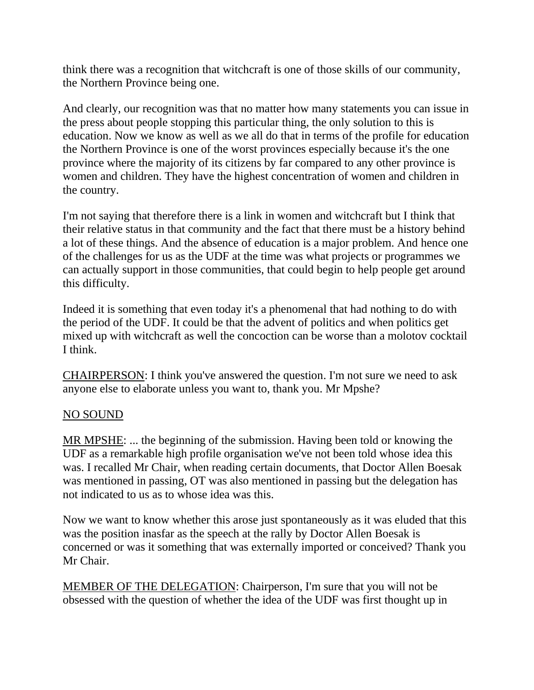think there was a recognition that witchcraft is one of those skills of our community, the Northern Province being one.

And clearly, our recognition was that no matter how many statements you can issue in the press about people stopping this particular thing, the only solution to this is education. Now we know as well as we all do that in terms of the profile for education the Northern Province is one of the worst provinces especially because it's the one province where the majority of its citizens by far compared to any other province is women and children. They have the highest concentration of women and children in the country.

I'm not saying that therefore there is a link in women and witchcraft but I think that their relative status in that community and the fact that there must be a history behind a lot of these things. And the absence of education is a major problem. And hence one of the challenges for us as the UDF at the time was what projects or programmes we can actually support in those communities, that could begin to help people get around this difficulty.

Indeed it is something that even today it's a phenomenal that had nothing to do with the period of the UDF. It could be that the advent of politics and when politics get mixed up with witchcraft as well the concoction can be worse than a molotov cocktail I think.

CHAIRPERSON: I think you've answered the question. I'm not sure we need to ask anyone else to elaborate unless you want to, thank you. Mr Mpshe?

#### NO SOUND

MR MPSHE: ... the beginning of the submission. Having been told or knowing the UDF as a remarkable high profile organisation we've not been told whose idea this was. I recalled Mr Chair, when reading certain documents, that Doctor Allen Boesak was mentioned in passing, OT was also mentioned in passing but the delegation has not indicated to us as to whose idea was this.

Now we want to know whether this arose just spontaneously as it was eluded that this was the position inasfar as the speech at the rally by Doctor Allen Boesak is concerned or was it something that was externally imported or conceived? Thank you Mr Chair.

MEMBER OF THE DELEGATION: Chairperson, I'm sure that you will not be obsessed with the question of whether the idea of the UDF was first thought up in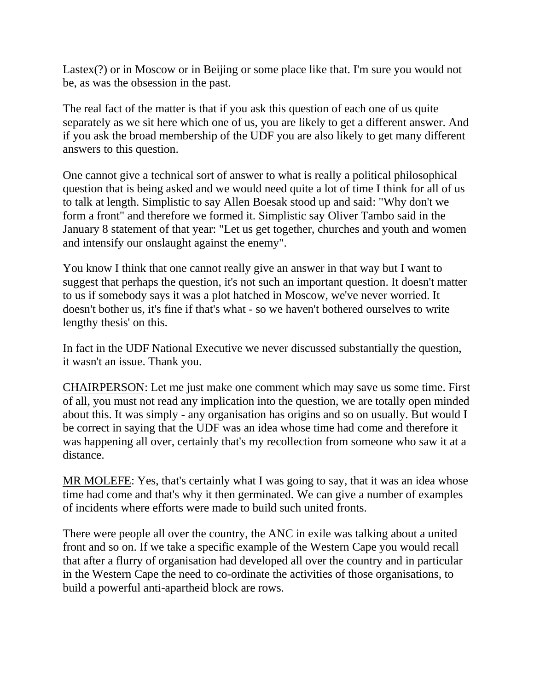Lastex(?) or in Moscow or in Beijing or some place like that. I'm sure you would not be, as was the obsession in the past.

The real fact of the matter is that if you ask this question of each one of us quite separately as we sit here which one of us, you are likely to get a different answer. And if you ask the broad membership of the UDF you are also likely to get many different answers to this question.

One cannot give a technical sort of answer to what is really a political philosophical question that is being asked and we would need quite a lot of time I think for all of us to talk at length. Simplistic to say Allen Boesak stood up and said: "Why don't we form a front" and therefore we formed it. Simplistic say Oliver Tambo said in the January 8 statement of that year: "Let us get together, churches and youth and women and intensify our onslaught against the enemy".

You know I think that one cannot really give an answer in that way but I want to suggest that perhaps the question, it's not such an important question. It doesn't matter to us if somebody says it was a plot hatched in Moscow, we've never worried. It doesn't bother us, it's fine if that's what - so we haven't bothered ourselves to write lengthy thesis' on this.

In fact in the UDF National Executive we never discussed substantially the question, it wasn't an issue. Thank you.

CHAIRPERSON: Let me just make one comment which may save us some time. First of all, you must not read any implication into the question, we are totally open minded about this. It was simply - any organisation has origins and so on usually. But would I be correct in saying that the UDF was an idea whose time had come and therefore it was happening all over, certainly that's my recollection from someone who saw it at a distance.

MR MOLEFE: Yes, that's certainly what I was going to say, that it was an idea whose time had come and that's why it then germinated. We can give a number of examples of incidents where efforts were made to build such united fronts.

There were people all over the country, the ANC in exile was talking about a united front and so on. If we take a specific example of the Western Cape you would recall that after a flurry of organisation had developed all over the country and in particular in the Western Cape the need to co-ordinate the activities of those organisations, to build a powerful anti-apartheid block are rows.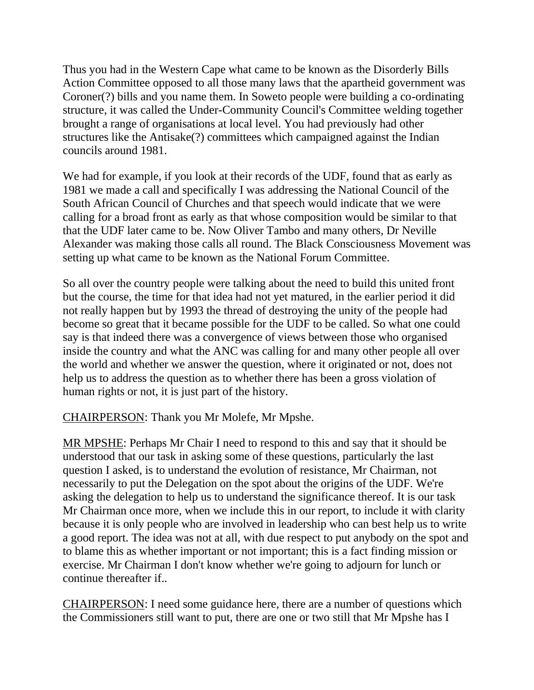Thus you had in the Western Cape what came to be known as the Disorderly Bills Action Committee opposed to all those many laws that the apartheid government was Coroner(?) bills and you name them. In Soweto people were building a co-ordinating structure, it was called the Under-Community Council's Committee welding together brought a range of organisations at local level. You had previously had other structures like the Antisake(?) committees which campaigned against the Indian councils around 1981.

We had for example, if you look at their records of the UDF, found that as early as 1981 we made a call and specifically I was addressing the National Council of the South African Council of Churches and that speech would indicate that we were calling for a broad front as early as that whose composition would be similar to that that the UDF later came to be. Now Oliver Tambo and many others, Dr Neville Alexander was making those calls all round. The Black Consciousness Movement was setting up what came to be known as the National Forum Committee.

So all over the country people were talking about the need to build this united front but the course, the time for that idea had not yet matured, in the earlier period it did not really happen but by 1993 the thread of destroying the unity of the people had become so great that it became possible for the UDF to be called. So what one could say is that indeed there was a convergence of views between those who organised inside the country and what the ANC was calling for and many other people all over the world and whether we answer the question, where it originated or not, does not help us to address the question as to whether there has been a gross violation of human rights or not, it is just part of the history.

CHAIRPERSON: Thank you Mr Molefe, Mr Mpshe.

MR MPSHE: Perhaps Mr Chair I need to respond to this and say that it should be understood that our task in asking some of these questions, particularly the last question I asked, is to understand the evolution of resistance, Mr Chairman, not necessarily to put the Delegation on the spot about the origins of the UDF. We're asking the delegation to help us to understand the significance thereof. It is our task Mr Chairman once more, when we include this in our report, to include it with clarity because it is only people who are involved in leadership who can best help us to write a good report. The idea was not at all, with due respect to put anybody on the spot and to blame this as whether important or not important; this is a fact finding mission or exercise. Mr Chairman I don't know whether we're going to adjourn for lunch or continue thereafter if..

CHAIRPERSON: I need some guidance here, there are a number of questions which the Commissioners still want to put, there are one or two still that Mr Mpshe has I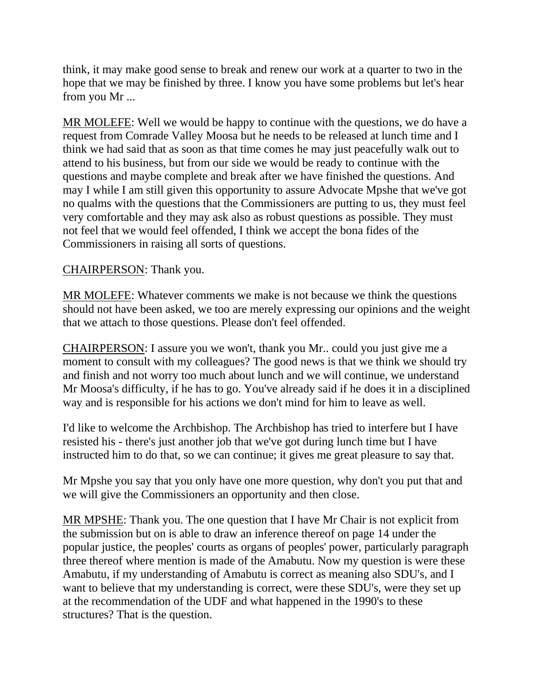think, it may make good sense to break and renew our work at a quarter to two in the hope that we may be finished by three. I know you have some problems but let's hear from you Mr ...

MR MOLEFE: Well we would be happy to continue with the questions, we do have a request from Comrade Valley Moosa but he needs to be released at lunch time and I think we had said that as soon as that time comes he may just peacefully walk out to attend to his business, but from our side we would be ready to continue with the questions and maybe complete and break after we have finished the questions. And may I while I am still given this opportunity to assure Advocate Mpshe that we've got no qualms with the questions that the Commissioners are putting to us, they must feel very comfortable and they may ask also as robust questions as possible. They must not feel that we would feel offended, I think we accept the bona fides of the Commissioners in raising all sorts of questions.

#### CHAIRPERSON: Thank you.

MR MOLEFE: Whatever comments we make is not because we think the questions should not have been asked, we too are merely expressing our opinions and the weight that we attach to those questions. Please don't feel offended.

CHAIRPERSON: I assure you we won't, thank you Mr.. could you just give me a moment to consult with my colleagues? The good news is that we think we should try and finish and not worry too much about lunch and we will continue, we understand Mr Moosa's difficulty, if he has to go. You've already said if he does it in a disciplined way and is responsible for his actions we don't mind for him to leave as well.

I'd like to welcome the Archbishop. The Archbishop has tried to interfere but I have resisted his - there's just another job that we've got during lunch time but I have instructed him to do that, so we can continue; it gives me great pleasure to say that.

Mr Mpshe you say that you only have one more question, why don't you put that and we will give the Commissioners an opportunity and then close.

MR MPSHE: Thank you. The one question that I have Mr Chair is not explicit from the submission but on is able to draw an inference thereof on page 14 under the popular justice, the peoples' courts as organs of peoples' power, particularly paragraph three thereof where mention is made of the Amabutu. Now my question is were these Amabutu, if my understanding of Amabutu is correct as meaning also SDU's, and I want to believe that my understanding is correct, were these SDU's, were they set up at the recommendation of the UDF and what happened in the 1990's to these structures? That is the question.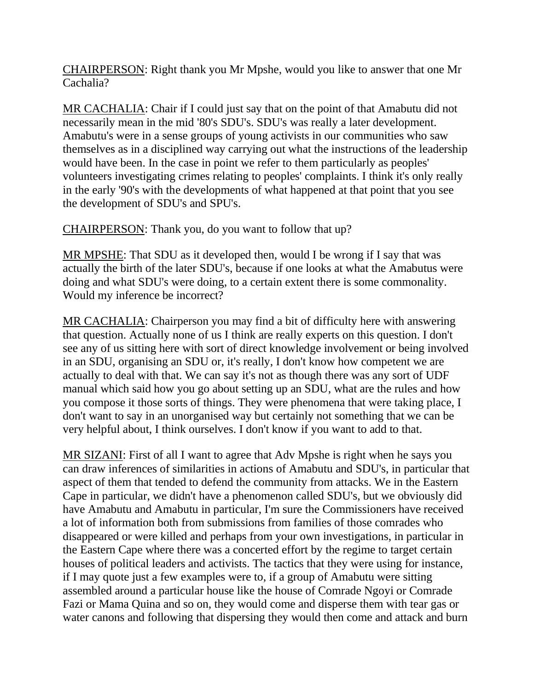CHAIRPERSON: Right thank you Mr Mpshe, would you like to answer that one Mr Cachalia?

MR CACHALIA: Chair if I could just say that on the point of that Amabutu did not necessarily mean in the mid '80's SDU's. SDU's was really a later development. Amabutu's were in a sense groups of young activists in our communities who saw themselves as in a disciplined way carrying out what the instructions of the leadership would have been. In the case in point we refer to them particularly as peoples' volunteers investigating crimes relating to peoples' complaints. I think it's only really in the early '90's with the developments of what happened at that point that you see the development of SDU's and SPU's.

CHAIRPERSON: Thank you, do you want to follow that up?

MR MPSHE: That SDU as it developed then, would I be wrong if I say that was actually the birth of the later SDU's, because if one looks at what the Amabutus were doing and what SDU's were doing, to a certain extent there is some commonality. Would my inference be incorrect?

MR CACHALIA: Chairperson you may find a bit of difficulty here with answering that question. Actually none of us I think are really experts on this question. I don't see any of us sitting here with sort of direct knowledge involvement or being involved in an SDU, organising an SDU or, it's really, I don't know how competent we are actually to deal with that. We can say it's not as though there was any sort of UDF manual which said how you go about setting up an SDU, what are the rules and how you compose it those sorts of things. They were phenomena that were taking place, I don't want to say in an unorganised way but certainly not something that we can be very helpful about, I think ourselves. I don't know if you want to add to that.

MR SIZANI: First of all I want to agree that Adv Mpshe is right when he says you can draw inferences of similarities in actions of Amabutu and SDU's, in particular that aspect of them that tended to defend the community from attacks. We in the Eastern Cape in particular, we didn't have a phenomenon called SDU's, but we obviously did have Amabutu and Amabutu in particular, I'm sure the Commissioners have received a lot of information both from submissions from families of those comrades who disappeared or were killed and perhaps from your own investigations, in particular in the Eastern Cape where there was a concerted effort by the regime to target certain houses of political leaders and activists. The tactics that they were using for instance, if I may quote just a few examples were to, if a group of Amabutu were sitting assembled around a particular house like the house of Comrade Ngoyi or Comrade Fazi or Mama Quina and so on, they would come and disperse them with tear gas or water canons and following that dispersing they would then come and attack and burn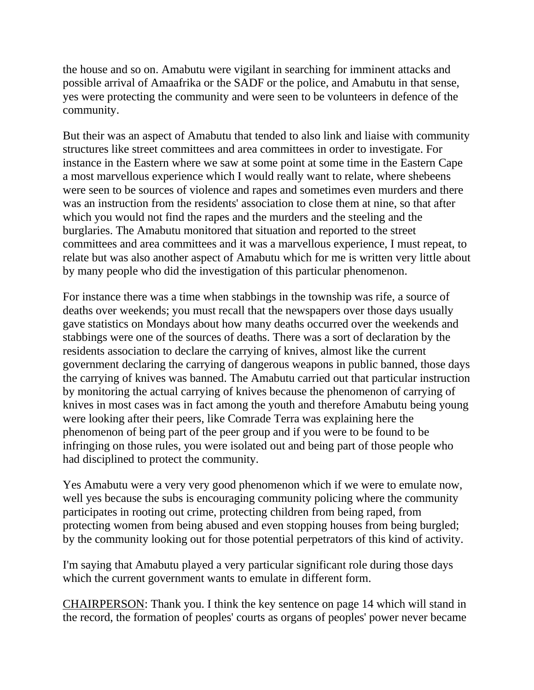the house and so on. Amabutu were vigilant in searching for imminent attacks and possible arrival of Amaafrika or the SADF or the police, and Amabutu in that sense, yes were protecting the community and were seen to be volunteers in defence of the community.

But their was an aspect of Amabutu that tended to also link and liaise with community structures like street committees and area committees in order to investigate. For instance in the Eastern where we saw at some point at some time in the Eastern Cape a most marvellous experience which I would really want to relate, where shebeens were seen to be sources of violence and rapes and sometimes even murders and there was an instruction from the residents' association to close them at nine, so that after which you would not find the rapes and the murders and the steeling and the burglaries. The Amabutu monitored that situation and reported to the street committees and area committees and it was a marvellous experience, I must repeat, to relate but was also another aspect of Amabutu which for me is written very little about by many people who did the investigation of this particular phenomenon.

For instance there was a time when stabbings in the township was rife, a source of deaths over weekends; you must recall that the newspapers over those days usually gave statistics on Mondays about how many deaths occurred over the weekends and stabbings were one of the sources of deaths. There was a sort of declaration by the residents association to declare the carrying of knives, almost like the current government declaring the carrying of dangerous weapons in public banned, those days the carrying of knives was banned. The Amabutu carried out that particular instruction by monitoring the actual carrying of knives because the phenomenon of carrying of knives in most cases was in fact among the youth and therefore Amabutu being young were looking after their peers, like Comrade Terra was explaining here the phenomenon of being part of the peer group and if you were to be found to be infringing on those rules, you were isolated out and being part of those people who had disciplined to protect the community.

Yes Amabutu were a very very good phenomenon which if we were to emulate now, well yes because the subs is encouraging community policing where the community participates in rooting out crime, protecting children from being raped, from protecting women from being abused and even stopping houses from being burgled; by the community looking out for those potential perpetrators of this kind of activity.

I'm saying that Amabutu played a very particular significant role during those days which the current government wants to emulate in different form.

CHAIRPERSON: Thank you. I think the key sentence on page 14 which will stand in the record, the formation of peoples' courts as organs of peoples' power never became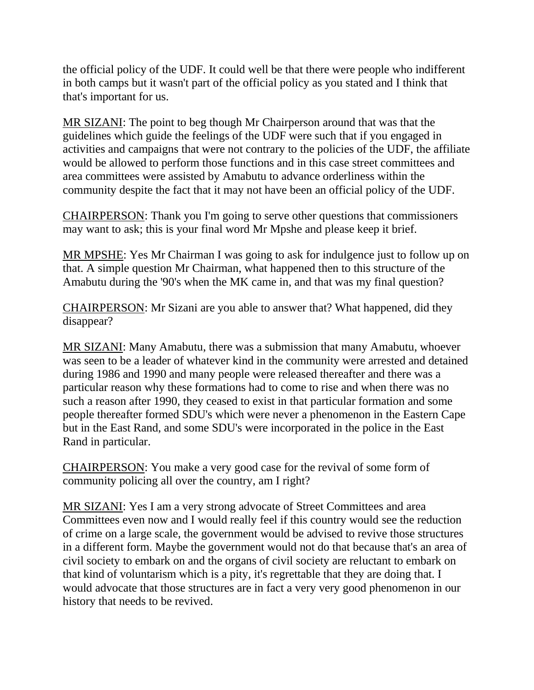the official policy of the UDF. It could well be that there were people who indifferent in both camps but it wasn't part of the official policy as you stated and I think that that's important for us.

MR SIZANI: The point to beg though Mr Chairperson around that was that the guidelines which guide the feelings of the UDF were such that if you engaged in activities and campaigns that were not contrary to the policies of the UDF, the affiliate would be allowed to perform those functions and in this case street committees and area committees were assisted by Amabutu to advance orderliness within the community despite the fact that it may not have been an official policy of the UDF.

CHAIRPERSON: Thank you I'm going to serve other questions that commissioners may want to ask; this is your final word Mr Mpshe and please keep it brief.

MR MPSHE: Yes Mr Chairman I was going to ask for indulgence just to follow up on that. A simple question Mr Chairman, what happened then to this structure of the Amabutu during the '90's when the MK came in, and that was my final question?

CHAIRPERSON: Mr Sizani are you able to answer that? What happened, did they disappear?

MR SIZANI: Many Amabutu, there was a submission that many Amabutu, whoever was seen to be a leader of whatever kind in the community were arrested and detained during 1986 and 1990 and many people were released thereafter and there was a particular reason why these formations had to come to rise and when there was no such a reason after 1990, they ceased to exist in that particular formation and some people thereafter formed SDU's which were never a phenomenon in the Eastern Cape but in the East Rand, and some SDU's were incorporated in the police in the East Rand in particular.

CHAIRPERSON: You make a very good case for the revival of some form of community policing all over the country, am I right?

MR SIZANI: Yes I am a very strong advocate of Street Committees and area Committees even now and I would really feel if this country would see the reduction of crime on a large scale, the government would be advised to revive those structures in a different form. Maybe the government would not do that because that's an area of civil society to embark on and the organs of civil society are reluctant to embark on that kind of voluntarism which is a pity, it's regrettable that they are doing that. I would advocate that those structures are in fact a very very good phenomenon in our history that needs to be revived.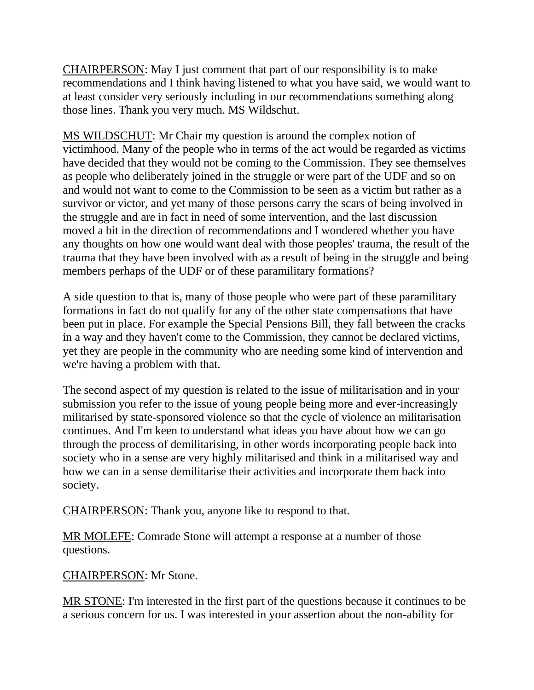CHAIRPERSON: May I just comment that part of our responsibility is to make recommendations and I think having listened to what you have said, we would want to at least consider very seriously including in our recommendations something along those lines. Thank you very much. MS Wildschut.

MS WILDSCHUT: Mr Chair my question is around the complex notion of victimhood. Many of the people who in terms of the act would be regarded as victims have decided that they would not be coming to the Commission. They see themselves as people who deliberately joined in the struggle or were part of the UDF and so on and would not want to come to the Commission to be seen as a victim but rather as a survivor or victor, and yet many of those persons carry the scars of being involved in the struggle and are in fact in need of some intervention, and the last discussion moved a bit in the direction of recommendations and I wondered whether you have any thoughts on how one would want deal with those peoples' trauma, the result of the trauma that they have been involved with as a result of being in the struggle and being members perhaps of the UDF or of these paramilitary formations?

A side question to that is, many of those people who were part of these paramilitary formations in fact do not qualify for any of the other state compensations that have been put in place. For example the Special Pensions Bill, they fall between the cracks in a way and they haven't come to the Commission, they cannot be declared victims, yet they are people in the community who are needing some kind of intervention and we're having a problem with that.

The second aspect of my question is related to the issue of militarisation and in your submission you refer to the issue of young people being more and ever-increasingly militarised by state-sponsored violence so that the cycle of violence an militarisation continues. And I'm keen to understand what ideas you have about how we can go through the process of demilitarising, in other words incorporating people back into society who in a sense are very highly militarised and think in a militarised way and how we can in a sense demilitarise their activities and incorporate them back into society.

CHAIRPERSON: Thank you, anyone like to respond to that.

MR MOLEFE: Comrade Stone will attempt a response at a number of those questions.

CHAIRPERSON: Mr Stone.

MR STONE: I'm interested in the first part of the questions because it continues to be a serious concern for us. I was interested in your assertion about the non-ability for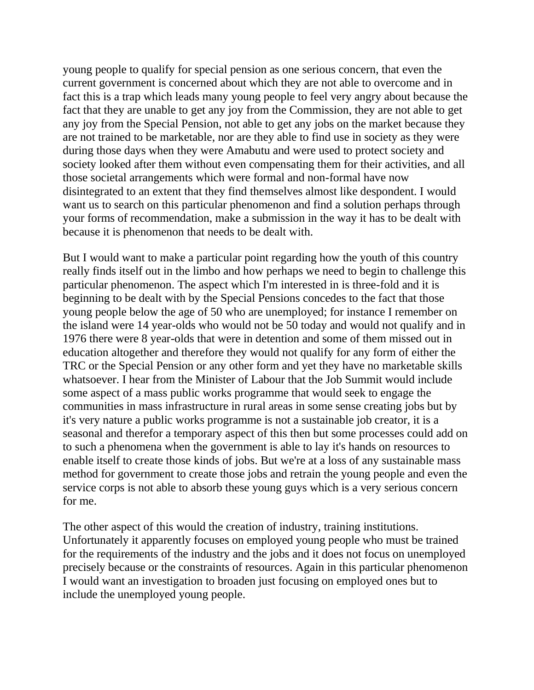young people to qualify for special pension as one serious concern, that even the current government is concerned about which they are not able to overcome and in fact this is a trap which leads many young people to feel very angry about because the fact that they are unable to get any joy from the Commission, they are not able to get any joy from the Special Pension, not able to get any jobs on the market because they are not trained to be marketable, nor are they able to find use in society as they were during those days when they were Amabutu and were used to protect society and society looked after them without even compensating them for their activities, and all those societal arrangements which were formal and non-formal have now disintegrated to an extent that they find themselves almost like despondent. I would want us to search on this particular phenomenon and find a solution perhaps through your forms of recommendation, make a submission in the way it has to be dealt with because it is phenomenon that needs to be dealt with.

But I would want to make a particular point regarding how the youth of this country really finds itself out in the limbo and how perhaps we need to begin to challenge this particular phenomenon. The aspect which I'm interested in is three-fold and it is beginning to be dealt with by the Special Pensions concedes to the fact that those young people below the age of 50 who are unemployed; for instance I remember on the island were 14 year-olds who would not be 50 today and would not qualify and in 1976 there were 8 year-olds that were in detention and some of them missed out in education altogether and therefore they would not qualify for any form of either the TRC or the Special Pension or any other form and yet they have no marketable skills whatsoever. I hear from the Minister of Labour that the Job Summit would include some aspect of a mass public works programme that would seek to engage the communities in mass infrastructure in rural areas in some sense creating jobs but by it's very nature a public works programme is not a sustainable job creator, it is a seasonal and therefor a temporary aspect of this then but some processes could add on to such a phenomena when the government is able to lay it's hands on resources to enable itself to create those kinds of jobs. But we're at a loss of any sustainable mass method for government to create those jobs and retrain the young people and even the service corps is not able to absorb these young guys which is a very serious concern for me.

The other aspect of this would the creation of industry, training institutions. Unfortunately it apparently focuses on employed young people who must be trained for the requirements of the industry and the jobs and it does not focus on unemployed precisely because or the constraints of resources. Again in this particular phenomenon I would want an investigation to broaden just focusing on employed ones but to include the unemployed young people.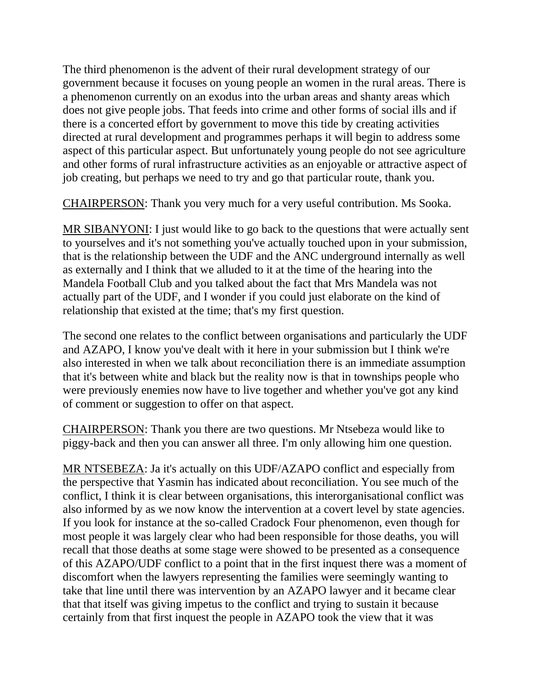The third phenomenon is the advent of their rural development strategy of our government because it focuses on young people an women in the rural areas. There is a phenomenon currently on an exodus into the urban areas and shanty areas which does not give people jobs. That feeds into crime and other forms of social ills and if there is a concerted effort by government to move this tide by creating activities directed at rural development and programmes perhaps it will begin to address some aspect of this particular aspect. But unfortunately young people do not see agriculture and other forms of rural infrastructure activities as an enjoyable or attractive aspect of job creating, but perhaps we need to try and go that particular route, thank you.

CHAIRPERSON: Thank you very much for a very useful contribution. Ms Sooka.

MR SIBANYONI: I just would like to go back to the questions that were actually sent to yourselves and it's not something you've actually touched upon in your submission, that is the relationship between the UDF and the ANC underground internally as well as externally and I think that we alluded to it at the time of the hearing into the Mandela Football Club and you talked about the fact that Mrs Mandela was not actually part of the UDF, and I wonder if you could just elaborate on the kind of relationship that existed at the time; that's my first question.

The second one relates to the conflict between organisations and particularly the UDF and AZAPO, I know you've dealt with it here in your submission but I think we're also interested in when we talk about reconciliation there is an immediate assumption that it's between white and black but the reality now is that in townships people who were previously enemies now have to live together and whether you've got any kind of comment or suggestion to offer on that aspect.

CHAIRPERSON: Thank you there are two questions. Mr Ntsebeza would like to piggy-back and then you can answer all three. I'm only allowing him one question.

MR NTSEBEZA: Ja it's actually on this UDF/AZAPO conflict and especially from the perspective that Yasmin has indicated about reconciliation. You see much of the conflict, I think it is clear between organisations, this interorganisational conflict was also informed by as we now know the intervention at a covert level by state agencies. If you look for instance at the so-called Cradock Four phenomenon, even though for most people it was largely clear who had been responsible for those deaths, you will recall that those deaths at some stage were showed to be presented as a consequence of this AZAPO/UDF conflict to a point that in the first inquest there was a moment of discomfort when the lawyers representing the families were seemingly wanting to take that line until there was intervention by an AZAPO lawyer and it became clear that that itself was giving impetus to the conflict and trying to sustain it because certainly from that first inquest the people in AZAPO took the view that it was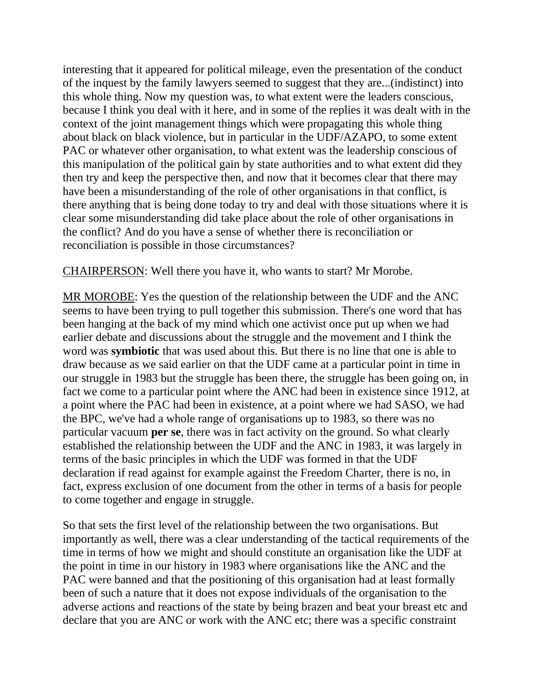interesting that it appeared for political mileage, even the presentation of the conduct of the inquest by the family lawyers seemed to suggest that they are...(indistinct) into this whole thing. Now my question was, to what extent were the leaders conscious, because I think you deal with it here, and in some of the replies it was dealt with in the context of the joint management things which were propagating this whole thing about black on black violence, but in particular in the UDF/AZAPO, to some extent PAC or whatever other organisation, to what extent was the leadership conscious of this manipulation of the political gain by state authorities and to what extent did they then try and keep the perspective then, and now that it becomes clear that there may have been a misunderstanding of the role of other organisations in that conflict, is there anything that is being done today to try and deal with those situations where it is clear some misunderstanding did take place about the role of other organisations in the conflict? And do you have a sense of whether there is reconciliation or reconciliation is possible in those circumstances?

CHAIRPERSON: Well there you have it, who wants to start? Mr Morobe.

MR MOROBE: Yes the question of the relationship between the UDF and the ANC seems to have been trying to pull together this submission. There's one word that has been hanging at the back of my mind which one activist once put up when we had earlier debate and discussions about the struggle and the movement and I think the word was **symbiotic** that was used about this. But there is no line that one is able to draw because as we said earlier on that the UDF came at a particular point in time in our struggle in 1983 but the struggle has been there, the struggle has been going on, in fact we come to a particular point where the ANC had been in existence since 1912, at a point where the PAC had been in existence, at a point where we had SASO, we had the BPC, we've had a whole range of organisations up to 1983, so there was no particular vacuum **per se**, there was in fact activity on the ground. So what clearly established the relationship between the UDF and the ANC in 1983, it was largely in terms of the basic principles in which the UDF was formed in that the UDF declaration if read against for example against the Freedom Charter, there is no, in fact, express exclusion of one document from the other in terms of a basis for people to come together and engage in struggle.

So that sets the first level of the relationship between the two organisations. But importantly as well, there was a clear understanding of the tactical requirements of the time in terms of how we might and should constitute an organisation like the UDF at the point in time in our history in 1983 where organisations like the ANC and the PAC were banned and that the positioning of this organisation had at least formally been of such a nature that it does not expose individuals of the organisation to the adverse actions and reactions of the state by being brazen and beat your breast etc and declare that you are ANC or work with the ANC etc; there was a specific constraint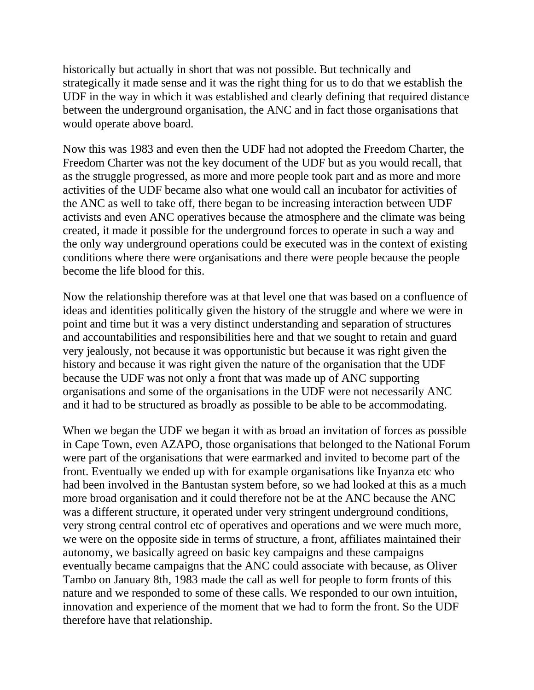historically but actually in short that was not possible. But technically and strategically it made sense and it was the right thing for us to do that we establish the UDF in the way in which it was established and clearly defining that required distance between the underground organisation, the ANC and in fact those organisations that would operate above board.

Now this was 1983 and even then the UDF had not adopted the Freedom Charter, the Freedom Charter was not the key document of the UDF but as you would recall, that as the struggle progressed, as more and more people took part and as more and more activities of the UDF became also what one would call an incubator for activities of the ANC as well to take off, there began to be increasing interaction between UDF activists and even ANC operatives because the atmosphere and the climate was being created, it made it possible for the underground forces to operate in such a way and the only way underground operations could be executed was in the context of existing conditions where there were organisations and there were people because the people become the life blood for this.

Now the relationship therefore was at that level one that was based on a confluence of ideas and identities politically given the history of the struggle and where we were in point and time but it was a very distinct understanding and separation of structures and accountabilities and responsibilities here and that we sought to retain and guard very jealously, not because it was opportunistic but because it was right given the history and because it was right given the nature of the organisation that the UDF because the UDF was not only a front that was made up of ANC supporting organisations and some of the organisations in the UDF were not necessarily ANC and it had to be structured as broadly as possible to be able to be accommodating.

When we began the UDF we began it with as broad an invitation of forces as possible in Cape Town, even AZAPO, those organisations that belonged to the National Forum were part of the organisations that were earmarked and invited to become part of the front. Eventually we ended up with for example organisations like Inyanza etc who had been involved in the Bantustan system before, so we had looked at this as a much more broad organisation and it could therefore not be at the ANC because the ANC was a different structure, it operated under very stringent underground conditions, very strong central control etc of operatives and operations and we were much more, we were on the opposite side in terms of structure, a front, affiliates maintained their autonomy, we basically agreed on basic key campaigns and these campaigns eventually became campaigns that the ANC could associate with because, as Oliver Tambo on January 8th, 1983 made the call as well for people to form fronts of this nature and we responded to some of these calls. We responded to our own intuition, innovation and experience of the moment that we had to form the front. So the UDF therefore have that relationship.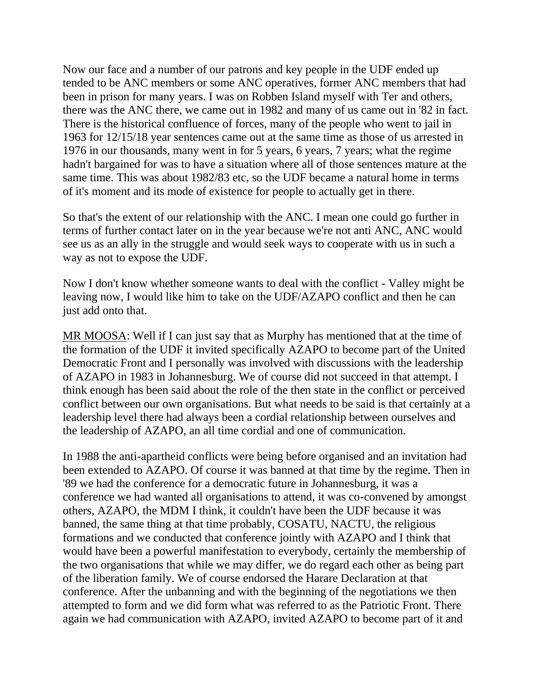Now our face and a number of our patrons and key people in the UDF ended up tended to be ANC members or some ANC operatives, former ANC members that had been in prison for many years. I was on Robben Island myself with Ter and others, there was the ANC there, we came out in 1982 and many of us came out in '82 in fact. There is the historical confluence of forces, many of the people who went to jail in 1963 for 12/15/18 year sentences came out at the same time as those of us arrested in 1976 in our thousands, many went in for 5 years, 6 years, 7 years; what the regime hadn't bargained for was to have a situation where all of those sentences mature at the same time. This was about 1982/83 etc, so the UDF became a natural home in terms of it's moment and its mode of existence for people to actually get in there.

So that's the extent of our relationship with the ANC. I mean one could go further in terms of further contact later on in the year because we're not anti ANC, ANC would see us as an ally in the struggle and would seek ways to cooperate with us in such a way as not to expose the UDF.

Now I don't know whether someone wants to deal with the conflict - Valley might be leaving now, I would like him to take on the UDF/AZAPO conflict and then he can just add onto that.

MR MOOSA: Well if I can just say that as Murphy has mentioned that at the time of the formation of the UDF it invited specifically AZAPO to become part of the United Democratic Front and I personally was involved with discussions with the leadership of AZAPO in 1983 in Johannesburg. We of course did not succeed in that attempt. I think enough has been said about the role of the then state in the conflict or perceived conflict between our own organisations. But what needs to be said is that certainly at a leadership level there had always been a cordial relationship between ourselves and the leadership of AZAPO, an all time cordial and one of communication.

In 1988 the anti-apartheid conflicts were being before organised and an invitation had been extended to AZAPO. Of course it was banned at that time by the regime. Then in '89 we had the conference for a democratic future in Johannesburg, it was a conference we had wanted all organisations to attend, it was co-convened by amongst others, AZAPO, the MDM I think, it couldn't have been the UDF because it was banned, the same thing at that time probably, COSATU, NACTU, the religious formations and we conducted that conference jointly with AZAPO and I think that would have been a powerful manifestation to everybody, certainly the membership of the two organisations that while we may differ, we do regard each other as being part of the liberation family. We of course endorsed the Harare Declaration at that conference. After the unbanning and with the beginning of the negotiations we then attempted to form and we did form what was referred to as the Patriotic Front. There again we had communication with AZAPO, invited AZAPO to become part of it and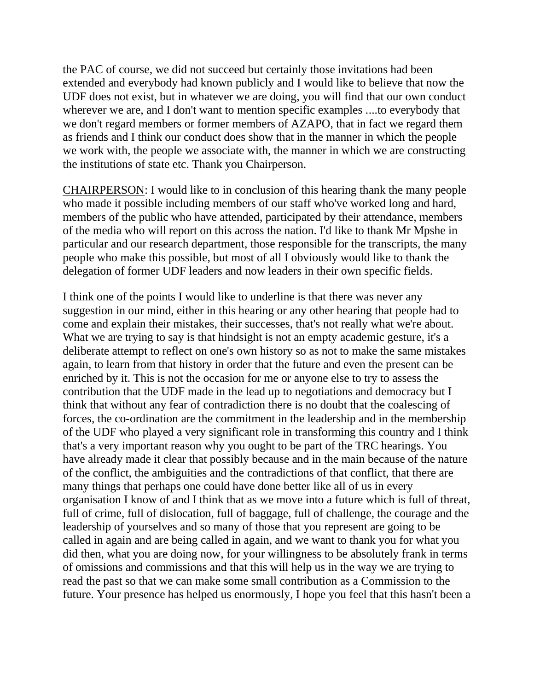the PAC of course, we did not succeed but certainly those invitations had been extended and everybody had known publicly and I would like to believe that now the UDF does not exist, but in whatever we are doing, you will find that our own conduct wherever we are, and I don't want to mention specific examples ....to everybody that we don't regard members or former members of AZAPO, that in fact we regard them as friends and I think our conduct does show that in the manner in which the people we work with, the people we associate with, the manner in which we are constructing the institutions of state etc. Thank you Chairperson.

CHAIRPERSON: I would like to in conclusion of this hearing thank the many people who made it possible including members of our staff who've worked long and hard, members of the public who have attended, participated by their attendance, members of the media who will report on this across the nation. I'd like to thank Mr Mpshe in particular and our research department, those responsible for the transcripts, the many people who make this possible, but most of all I obviously would like to thank the delegation of former UDF leaders and now leaders in their own specific fields.

I think one of the points I would like to underline is that there was never any suggestion in our mind, either in this hearing or any other hearing that people had to come and explain their mistakes, their successes, that's not really what we're about. What we are trying to say is that hindsight is not an empty academic gesture, it's a deliberate attempt to reflect on one's own history so as not to make the same mistakes again, to learn from that history in order that the future and even the present can be enriched by it. This is not the occasion for me or anyone else to try to assess the contribution that the UDF made in the lead up to negotiations and democracy but I think that without any fear of contradiction there is no doubt that the coalescing of forces, the co-ordination are the commitment in the leadership and in the membership of the UDF who played a very significant role in transforming this country and I think that's a very important reason why you ought to be part of the TRC hearings. You have already made it clear that possibly because and in the main because of the nature of the conflict, the ambiguities and the contradictions of that conflict, that there are many things that perhaps one could have done better like all of us in every organisation I know of and I think that as we move into a future which is full of threat, full of crime, full of dislocation, full of baggage, full of challenge, the courage and the leadership of yourselves and so many of those that you represent are going to be called in again and are being called in again, and we want to thank you for what you did then, what you are doing now, for your willingness to be absolutely frank in terms of omissions and commissions and that this will help us in the way we are trying to read the past so that we can make some small contribution as a Commission to the future. Your presence has helped us enormously, I hope you feel that this hasn't been a